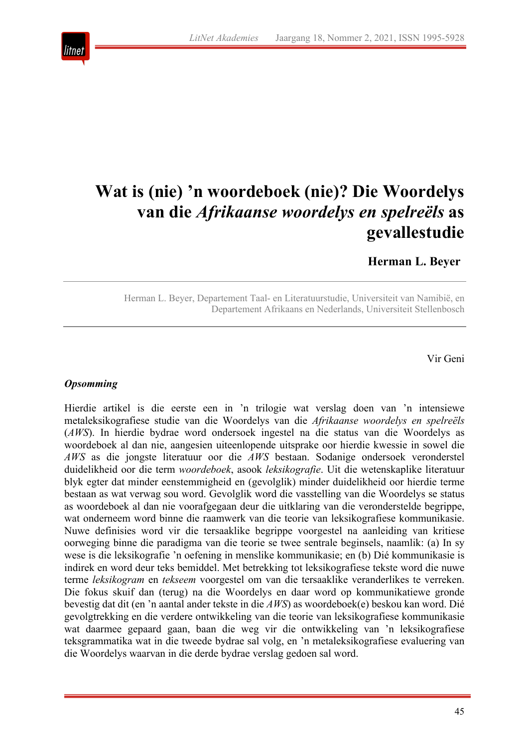

# **Wat is (nie) 'n woordeboek (nie)? Die Woordelys van die** *Afrikaanse woordelys en spelreëls* **as gevallestudie**

**Herman L. Beyer**

Herman L. Beyer, Departement Taal- en Literatuurstudie, Universiteit van Namibië, en Departement Afrikaans en Nederlands, Universiteit Stellenbosch

Vir Geni

#### *Opsomming*

Hierdie artikel is die eerste een in 'n trilogie wat verslag doen van 'n intensiewe metaleksikografiese studie van die Woordelys van die *Afrikaanse woordelys en spelreëls* (*AWS*). In hierdie bydrae word ondersoek ingestel na die status van die Woordelys as woordeboek al dan nie, aangesien uiteenlopende uitsprake oor hierdie kwessie in sowel die *AWS* as die jongste literatuur oor die *AWS* bestaan. Sodanige ondersoek veronderstel duidelikheid oor die term *woordeboek*, asook *leksikografie*. Uit die wetenskaplike literatuur blyk egter dat minder eenstemmigheid en (gevolglik) minder duidelikheid oor hierdie terme bestaan as wat verwag sou word. Gevolglik word die vasstelling van die Woordelys se status as woordeboek al dan nie voorafgegaan deur die uitklaring van die veronderstelde begrippe, wat onderneem word binne die raamwerk van die teorie van leksikografiese kommunikasie. Nuwe definisies word vir die tersaaklike begrippe voorgestel na aanleiding van kritiese oorweging binne die paradigma van die teorie se twee sentrale beginsels, naamlik: (a) In sy wese is die leksikografie 'n oefening in menslike kommunikasie; en (b) Dié kommunikasie is indirek en word deur teks bemiddel. Met betrekking tot leksikografiese tekste word die nuwe terme *leksikogram* en *tekseem* voorgestel om van die tersaaklike veranderlikes te verreken. Die fokus skuif dan (terug) na die Woordelys en daar word op kommunikatiewe gronde bevestig dat dit (en 'n aantal ander tekste in die *AWS*) as woordeboek(e) beskou kan word. Dié gevolgtrekking en die verdere ontwikkeling van die teorie van leksikografiese kommunikasie wat daarmee gepaard gaan, baan die weg vir die ontwikkeling van 'n leksikografiese teksgrammatika wat in die tweede bydrae sal volg, en 'n metaleksikografiese evaluering van die Woordelys waarvan in die derde bydrae verslag gedoen sal word.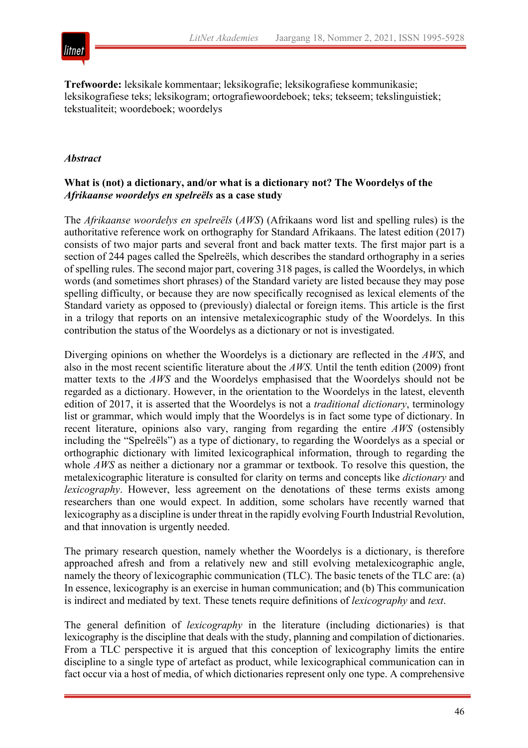

**Trefwoorde:** leksikale kommentaar; leksikografie; leksikografiese kommunikasie; leksikografiese teks; leksikogram; ortografiewoordeboek; teks; tekseem; tekslinguistiek; tekstualiteit; woordeboek; woordelys

#### *Abstract*

# **What is (not) a dictionary, and/or what is a dictionary not? The Woordelys of the**  *Afrikaanse woordelys en spelreëls* **as a case study**

The *Afrikaanse woordelys en spelreëls* (*AWS*) (Afrikaans word list and spelling rules) is the authoritative reference work on orthography for Standard Afrikaans. The latest edition (2017) consists of two major parts and several front and back matter texts. The first major part is a section of 244 pages called the Spelreëls, which describes the standard orthography in a series of spelling rules. The second major part, covering 318 pages, is called the Woordelys, in which words (and sometimes short phrases) of the Standard variety are listed because they may pose spelling difficulty, or because they are now specifically recognised as lexical elements of the Standard variety as opposed to (previously) dialectal or foreign items. This article is the first in a trilogy that reports on an intensive metalexicographic study of the Woordelys. In this contribution the status of the Woordelys as a dictionary or not is investigated.

Diverging opinions on whether the Woordelys is a dictionary are reflected in the *AWS*, and also in the most recent scientific literature about the *AWS*. Until the tenth edition (2009) front matter texts to the *AWS* and the Woordelys emphasised that the Woordelys should not be regarded as a dictionary. However, in the orientation to the Woordelys in the latest, eleventh edition of 2017, it is asserted that the Woordelys is not a *traditional dictionary*, terminology list or grammar, which would imply that the Woordelys is in fact some type of dictionary. In recent literature, opinions also vary, ranging from regarding the entire *AWS* (ostensibly including the "Spelreëls") as a type of dictionary, to regarding the Woordelys as a special or orthographic dictionary with limited lexicographical information, through to regarding the whole *AWS* as neither a dictionary nor a grammar or textbook. To resolve this question, the metalexicographic literature is consulted for clarity on terms and concepts like *dictionary* and *lexicography*. However, less agreement on the denotations of these terms exists among researchers than one would expect. In addition, some scholars have recently warned that lexicography as a discipline is under threat in the rapidly evolving Fourth Industrial Revolution, and that innovation is urgently needed.

The primary research question, namely whether the Woordelys is a dictionary, is therefore approached afresh and from a relatively new and still evolving metalexicographic angle, namely the theory of lexicographic communication (TLC). The basic tenets of the TLC are: (a) In essence, lexicography is an exercise in human communication; and (b) This communication is indirect and mediated by text. These tenets require definitions of *lexicography* and *text*.

The general definition of *lexicography* in the literature (including dictionaries) is that lexicography is the discipline that deals with the study, planning and compilation of dictionaries. From a TLC perspective it is argued that this conception of lexicography limits the entire discipline to a single type of artefact as product, while lexicographical communication can in fact occur via a host of media, of which dictionaries represent only one type. A comprehensive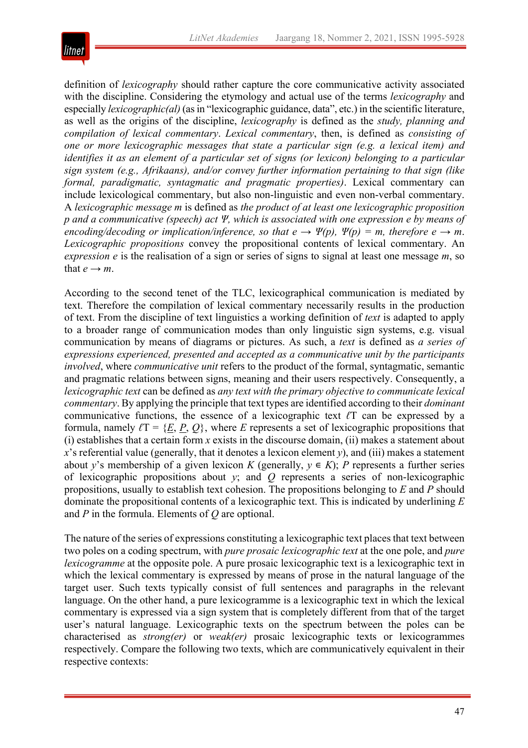

definition of *lexicography* should rather capture the core communicative activity associated with the discipline. Considering the etymology and actual use of the terms *lexicography* and especially *lexicographic(al)* (as in "lexicographic guidance, data", etc.) in the scientific literature, as well as the origins of the discipline, *lexicography* is defined as the *study, planning and compilation of lexical commentary*. *Lexical commentary*, then, is defined as *consisting of one or more lexicographic messages that state a particular sign (e.g. a lexical item) and identifies it as an element of a particular set of signs (or lexicon) belonging to a particular sign system (e.g., Afrikaans), and/or convey further information pertaining to that sign (like formal, paradigmatic, syntagmatic and pragmatic properties)*. Lexical commentary can include lexicological commentary, but also non-linguistic and even non-verbal commentary. A *lexicographic message m* is defined as *the product of at least one lexicographic proposition p and a communicative (speech) act Ψ, which is associated with one expression e by means of encoding/decoding or implication/inference, so that*  $e \rightarrow \Psi(p)$ *,*  $\Psi(p) = m$ *, therefore*  $e \rightarrow m$ *. Lexicographic propositions* convey the propositional contents of lexical commentary. An *expression e* is the realisation of a sign or series of signs to signal at least one message *m*, so that  $e \rightarrow m$ .

According to the second tenet of the TLC, lexicographical communication is mediated by text. Therefore the compilation of lexical commentary necessarily results in the production of text. From the discipline of text linguistics a working definition of *text* is adapted to apply to a broader range of communication modes than only linguistic sign systems, e.g. visual communication by means of diagrams or pictures. As such, a *text* is defined as *a series of expressions experienced, presented and accepted as a communicative unit by the participants involved*, where *communicative unit* refers to the product of the formal, syntagmatic, semantic and pragmatic relations between signs, meaning and their users respectively. Consequently, a *lexicographic text* can be defined as *any text with the primary objective to communicate lexical commentary*. By applying the principle that text types are identified according to their *dominant* communicative functions, the essence of a lexicographic text *ℓ*T can be expressed by a formula, namely  $\ell T = \{E, P, Q\}$ , where *E* represents a set of lexicographic propositions that (i) establishes that a certain form *x* exists in the discourse domain, (ii) makes a statement about *x*'s referential value (generally, that it denotes a lexicon element *y*), and (iii) makes a statement about *y*'s membership of a given lexicon *K* (generally,  $y \in K$ ); *P* represents a further series of lexicographic propositions about *y*; and *Q* represents a series of non-lexicographic propositions, usually to establish text cohesion. The propositions belonging to *E* and *P* should dominate the propositional contents of a lexicographic text. This is indicated by underlining *E* and *P* in the formula. Elements of *Q* are optional.

The nature of the series of expressions constituting a lexicographic text places that text between two poles on a coding spectrum, with *pure prosaic lexicographic text* at the one pole, and *pure lexicogramme* at the opposite pole. A pure prosaic lexicographic text is a lexicographic text in which the lexical commentary is expressed by means of prose in the natural language of the target user. Such texts typically consist of full sentences and paragraphs in the relevant language. On the other hand, a pure lexicogramme is a lexicographic text in which the lexical commentary is expressed via a sign system that is completely different from that of the target user's natural language. Lexicographic texts on the spectrum between the poles can be characterised as *strong(er)* or *weak(er)* prosaic lexicographic texts or lexicogrammes respectively. Compare the following two texts, which are communicatively equivalent in their respective contexts: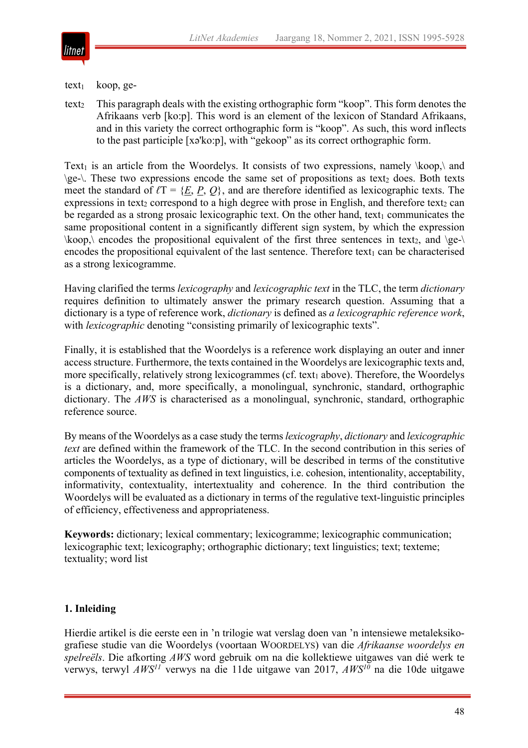

#### $text_1$  koop, ge-

text<sub>2</sub> This paragraph deals with the existing orthographic form "koop". This form denotes the Afrikaans verb [ko:p]. This word is an element of the lexicon of Standard Afrikaans, and in this variety the correct orthographic form is "koop". As such, this word inflects to the past participle [xə'ko:p], with "gekoop" as its correct orthographic form.

Text<sub>1</sub> is an article from the Woordelys. It consists of two expressions, namely  $\kappa$  and  $\geq$ . These two expressions encode the same set of propositions as text<sub>2</sub> does. Both texts meet the standard of  $\ell T = \{E, P, Q\}$ , and are therefore identified as lexicographic texts. The expressions in text<sub>2</sub> correspond to a high degree with prose in English, and therefore text<sub>2</sub> can be regarded as a strong prosaic lexicographic text. On the other hand, text<sub>1</sub> communicates the same propositional content in a significantly different sign system, by which the expression  $\kappa$  \koop, \ encodes the propositional equivalent of the first three sentences in text<sub>2</sub>, and \ge-\ encodes the propositional equivalent of the last sentence. Therefore text<sub>1</sub> can be characterised as a strong lexicogramme.

Having clarified the terms *lexicography* and *lexicographic text* in the TLC, the term *dictionary* requires definition to ultimately answer the primary research question. Assuming that a dictionary is a type of reference work, *dictionary* is defined as *a lexicographic reference work*, with *lexicographic* denoting "consisting primarily of lexicographic texts".

Finally, it is established that the Woordelys is a reference work displaying an outer and inner access structure. Furthermore, the texts contained in the Woordelys are lexicographic texts and, more specifically, relatively strong lexicogrammes (cf. text<sub>1</sub> above). Therefore, the Woordelys is a dictionary, and, more specifically, a monolingual, synchronic, standard, orthographic dictionary. The *AWS* is characterised as a monolingual, synchronic, standard, orthographic reference source.

By means of the Woordelys as a case study the terms *lexicography*, *dictionary* and *lexicographic text* are defined within the framework of the TLC. In the second contribution in this series of articles the Woordelys, as a type of dictionary, will be described in terms of the constitutive components of textuality as defined in text linguistics, i.e. cohesion, intentionality, acceptability, informativity, contextuality, intertextuality and coherence. In the third contribution the Woordelys will be evaluated as a dictionary in terms of the regulative text-linguistic principles of efficiency, effectiveness and appropriateness.

**Keywords:** dictionary; lexical commentary; lexicogramme; lexicographic communication; lexicographic text; lexicography; orthographic dictionary; text linguistics; text; texteme; textuality; word list

# **1. Inleiding**

Hierdie artikel is die eerste een in 'n trilogie wat verslag doen van 'n intensiewe metaleksikografiese studie van die Woordelys (voortaan WOORDELYS) van die *Afrikaanse woordelys en spelreëls*. Die afkorting *AWS* word gebruik om na die kollektiewe uitgawes van dié werk te verwys, terwyl *AWS11* verwys na die 11de uitgawe van 2017, *AWS10* na die 10de uitgawe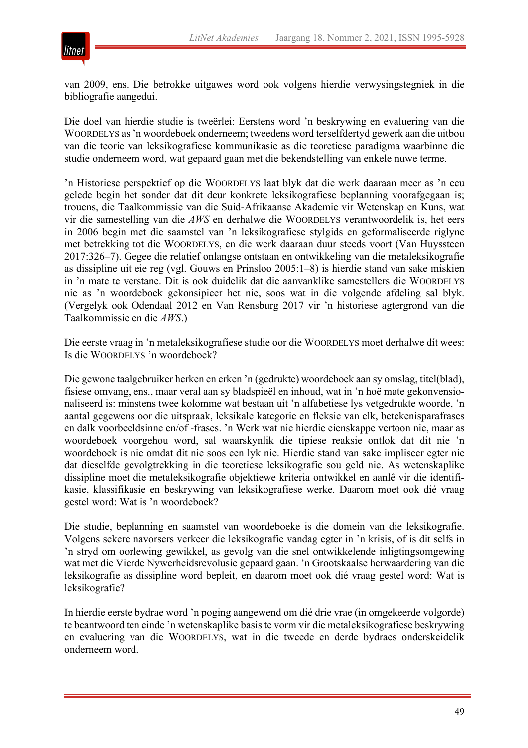

van 2009, ens. Die betrokke uitgawes word ook volgens hierdie verwysingstegniek in die bibliografie aangedui.

Die doel van hierdie studie is tweërlei: Eerstens word 'n beskrywing en evaluering van die WOORDELYS as 'n woordeboek onderneem; tweedens word terselfdertyd gewerk aan die uitbou van die teorie van leksikografiese kommunikasie as die teoretiese paradigma waarbinne die studie onderneem word, wat gepaard gaan met die bekendstelling van enkele nuwe terme.

'n Historiese perspektief op die WOORDELYS laat blyk dat die werk daaraan meer as 'n eeu gelede begin het sonder dat dit deur konkrete leksikografiese beplanning voorafgegaan is; trouens, die Taalkommissie van die Suid-Afrikaanse Akademie vir Wetenskap en Kuns, wat vir die samestelling van die *AWS* en derhalwe die WOORDELYS verantwoordelik is, het eers in 2006 begin met die saamstel van 'n leksikografiese stylgids en geformaliseerde riglyne met betrekking tot die WOORDELYS, en die werk daaraan duur steeds voort (Van Huyssteen 2017:326–7). Gegee die relatief onlangse ontstaan en ontwikkeling van die metaleksikografie as dissipline uit eie reg (vgl. Gouws en Prinsloo 2005:1–8) is hierdie stand van sake miskien in 'n mate te verstane. Dit is ook duidelik dat die aanvanklike samestellers die WOORDELYS nie as 'n woordeboek gekonsipieer het nie, soos wat in die volgende afdeling sal blyk. (Vergelyk ook Odendaal 2012 en Van Rensburg 2017 vir 'n historiese agtergrond van die Taalkommissie en die *AWS*.)

Die eerste vraag in 'n metaleksikografiese studie oor die WOORDELYS moet derhalwe dít wees: Is die WOORDELYS 'n woordeboek?

Die gewone taalgebruiker herken en erken 'n (gedrukte) woordeboek aan sy omslag, titel(blad), fisiese omvang, ens., maar veral aan sy bladspieël en inhoud, wat in 'n hoë mate gekonvensionaliseerd is: minstens twee kolomme wat bestaan uit 'n alfabetiese lys vetgedrukte woorde, 'n aantal gegewens oor die uitspraak, leksikale kategorie en fleksie van elk, betekenisparafrases en dalk voorbeeldsinne en/of -frases. 'n Werk wat nie hierdie eienskappe vertoon nie, maar as woordeboek voorgehou word, sal waarskynlik die tipiese reaksie ontlok dat dit nie 'n woordeboek is nie omdat dit nie soos een lyk nie. Hierdie stand van sake impliseer egter nie dat dieselfde gevolgtrekking in die teoretiese leksikografie sou geld nie. As wetenskaplike dissipline moet die metaleksikografie objektiewe kriteria ontwikkel en aanlê vir die identifikasie, klassifikasie en beskrywing van leksikografiese werke. Daarom moet ook dié vraag gestel word: Wat is 'n woordeboek?

Die studie, beplanning en saamstel van woordeboeke is die domein van die leksikografie. Volgens sekere navorsers verkeer die leksikografie vandag egter in 'n krisis, of is dit selfs in 'n stryd om oorlewing gewikkel, as gevolg van die snel ontwikkelende inligtingsomgewing wat met die Vierde Nywerheidsrevolusie gepaard gaan. 'n Grootskaalse herwaardering van die leksikografie as dissipline word bepleit, en daarom moet ook dié vraag gestel word: Wat is leksikografie?

In hierdie eerste bydrae word 'n poging aangewend om dié drie vrae (in omgekeerde volgorde) te beantwoord ten einde 'n wetenskaplike basis te vorm vir die metaleksikografiese beskrywing en evaluering van die WOORDELYS, wat in die tweede en derde bydraes onderskeidelik onderneem word.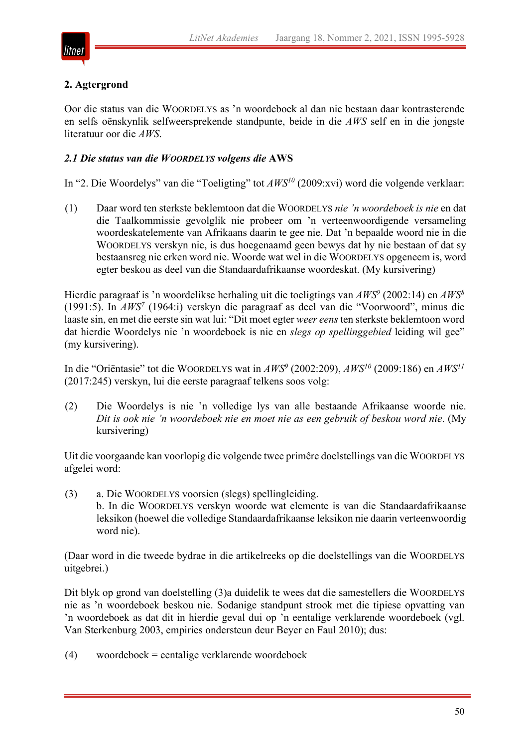

# **2. Agtergrond**

Oor die status van die WOORDELYS as 'n woordeboek al dan nie bestaan daar kontrasterende en selfs oënskynlik selfweersprekende standpunte, beide in die *AWS* self en in die jongste literatuur oor die *AWS*.

# *2.1 Die status van die WOORDELYS volgens die* **AWS**

In "2. Die Woordelys" van die "Toeligting" tot *AWS10* (2009:xvi) word die volgende verklaar:

(1) Daar word ten sterkste beklemtoon dat die WOORDELYS *nie 'n woordeboek is nie* en dat die Taalkommissie gevolglik nie probeer om 'n verteenwoordigende versameling woordeskatelemente van Afrikaans daarin te gee nie. Dat 'n bepaalde woord nie in die WOORDELYS verskyn nie, is dus hoegenaamd geen bewys dat hy nie bestaan of dat sy bestaansreg nie erken word nie. Woorde wat wel in die WOORDELYS opgeneem is, word egter beskou as deel van die Standaardafrikaanse woordeskat. (My kursivering)

Hierdie paragraaf is 'n woordelikse herhaling uit die toeligtings van *AWS9* (2002:14) en *AWS8* (1991:5). In *AWS7* (1964:i) verskyn die paragraaf as deel van die "Voorwoord", minus die laaste sin, en met die eerste sin wat lui: "Dit moet egter *weer eens* ten sterkste beklemtoon word dat hierdie Woordelys nie 'n woordeboek is nie en *slegs op spellinggebied* leiding wil gee" (my kursivering).

In die "Oriëntasie" tot die WOORDELYS wat in *AWS9* (2002:209), *AWS10* (2009:186) en *AWS11* (2017:245) verskyn, lui die eerste paragraaf telkens soos volg:

(2) Die Woordelys is nie 'n volledige lys van alle bestaande Afrikaanse woorde nie. *Dit is ook nie 'n woordeboek nie en moet nie as een gebruik of beskou word nie*. (My kursivering)

Uit die voorgaande kan voorlopig die volgende twee primêre doelstellings van die WOORDELYS afgelei word:

(3) a. Die WOORDELYS voorsien (slegs) spellingleiding. b. In die WOORDELYS verskyn woorde wat elemente is van die Standaardafrikaanse leksikon (hoewel die volledige Standaardafrikaanse leksikon nie daarin verteenwoordig word nie).

(Daar word in die tweede bydrae in die artikelreeks op die doelstellings van die WOORDELYS uitgebrei.)

Dit blyk op grond van doelstelling (3)a duidelik te wees dat die samestellers die WOORDELYS nie as 'n woordeboek beskou nie. Sodanige standpunt strook met die tipiese opvatting van 'n woordeboek as dat dit in hierdie geval dui op 'n eentalige verklarende woordeboek (vgl. Van Sterkenburg 2003, empiries ondersteun deur Beyer en Faul 2010); dus:

(4) woordeboek = eentalige verklarende woordeboek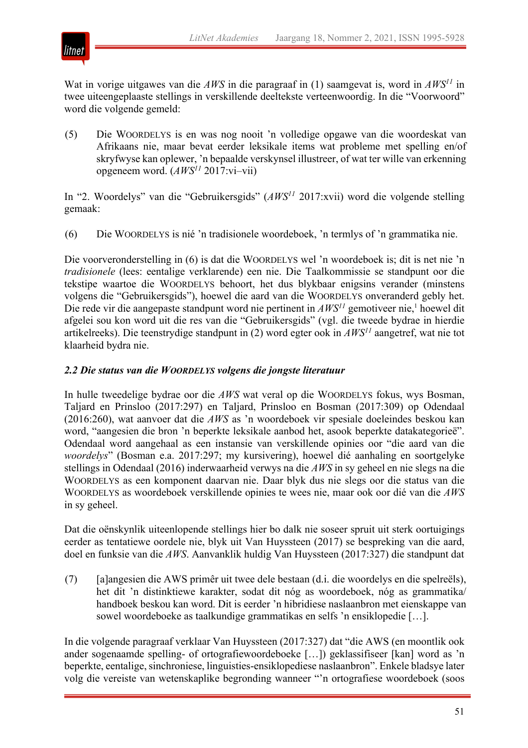

Wat in vorige uitgawes van die *AWS* in die paragraaf in (1) saamgevat is, word in *AWS11* in twee uiteengeplaaste stellings in verskillende deeltekste verteenwoordig. In die "Voorwoord" word die volgende gemeld:

(5) Die WOORDELYS is en was nog nooit 'n volledige opgawe van die woordeskat van Afrikaans nie, maar bevat eerder leksikale items wat probleme met spelling en/of skryfwyse kan oplewer, 'n bepaalde verskynsel illustreer, of wat ter wille van erkenning opgeneem word. (*AWS11* 2017:vi–vii)

In "2. Woordelys" van die "Gebruikersgids" (*AWS11* 2017:xvii) word die volgende stelling gemaak:

(6) Die WOORDELYS is nié 'n tradisionele woordeboek, 'n termlys of 'n grammatika nie.

Die voorveronderstelling in (6) is dat die WOORDELYS wel 'n woordeboek is; dit is net nie 'n *tradisionele* (lees: eentalige verklarende) een nie. Die Taalkommissie se standpunt oor die tekstipe waartoe die WOORDELYS behoort, het dus blykbaar enigsins verander (minstens volgens die "Gebruikersgids"), hoewel die aard van die WOORDELYS onveranderd gebly het. Die rede vir die aangepaste standpunt word nie pertinent in  $AWS<sup>11</sup>$  gemotiveer nie,<sup>1</sup> hoewel dit afgelei sou kon word uit die res van die "Gebruikersgids" (vgl. die tweede bydrae in hierdie artikelreeks). Die teenstrydige standpunt in (2) word egter ook in *AWS11* aangetref, wat nie tot klaarheid bydra nie.

# *2.2 Die status van die WOORDELYS volgens die jongste literatuur*

In hulle tweedelige bydrae oor die *AWS* wat veral op die WOORDELYS fokus, wys Bosman, Taljard en Prinsloo (2017:297) en Taljard, Prinsloo en Bosman (2017:309) op Odendaal (2016:260), wat aanvoer dat die *AWS* as 'n woordeboek vir spesiale doeleindes beskou kan word, "aangesien die bron 'n beperkte leksikale aanbod het, asook beperkte datakategorieë". Odendaal word aangehaal as een instansie van verskillende opinies oor "die aard van die *woordelys*" (Bosman e.a. 2017:297; my kursivering), hoewel dié aanhaling en soortgelyke stellings in Odendaal (2016) inderwaarheid verwys na die *AWS* in sy geheel en nie slegs na die WOORDELYS as een komponent daarvan nie. Daar blyk dus nie slegs oor die status van die WOORDELYS as woordeboek verskillende opinies te wees nie, maar ook oor dié van die *AWS* in sy geheel.

Dat die oënskynlik uiteenlopende stellings hier bo dalk nie soseer spruit uit sterk oortuigings eerder as tentatiewe oordele nie, blyk uit Van Huyssteen (2017) se bespreking van die aard, doel en funksie van die *AWS*. Aanvanklik huldig Van Huyssteen (2017:327) die standpunt dat

(7) [a]angesien die AWS primêr uit twee dele bestaan (d.i. die woordelys en die spelreëls), het dit 'n distinktiewe karakter, sodat dit nóg as woordeboek, nóg as grammatika/ handboek beskou kan word. Dit is eerder 'n hibridiese naslaanbron met eienskappe van sowel woordeboeke as taalkundige grammatikas en selfs 'n ensiklopedie […].

In die volgende paragraaf verklaar Van Huyssteen (2017:327) dat "die AWS (en moontlik ook ander sogenaamde spelling- of ortografiewoordeboeke […]) geklassifiseer [kan] word as 'n beperkte, eentalige, sinchroniese, linguisties-ensiklopediese naslaanbron". Enkele bladsye later volg die vereiste van wetenskaplike begronding wanneer "'n ortografiese woordeboek (soos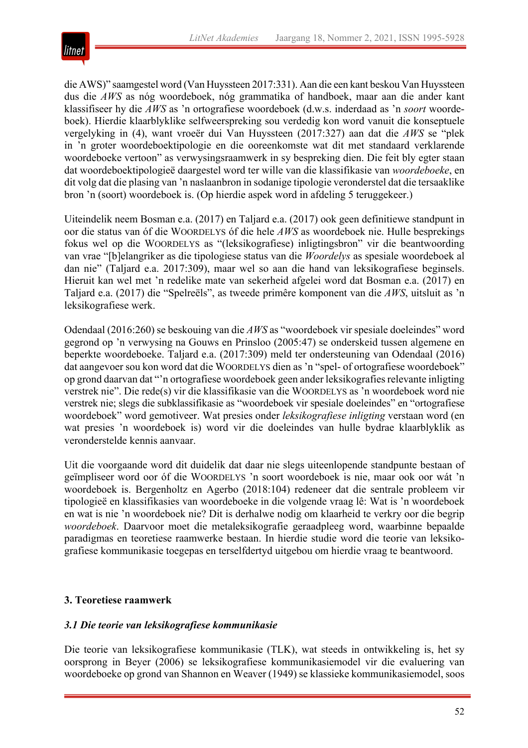

die AWS)" saamgestel word (Van Huyssteen 2017:331). Aan die een kant beskou Van Huyssteen dus die *AWS* as nóg woordeboek, nóg grammatika of handboek, maar aan die ander kant klassifiseer hy die *AWS* as 'n ortografiese woordeboek (d.w.s. inderdaad as 'n *soort* woordeboek). Hierdie klaarblyklike selfweerspreking sou verdedig kon word vanuit die konseptuele vergelyking in (4), want vroeër dui Van Huyssteen (2017:327) aan dat die *AWS* se "plek in 'n groter woordeboektipologie en die ooreenkomste wat dit met standaard verklarende woordeboeke vertoon" as verwysingsraamwerk in sy bespreking dien. Die feit bly egter staan dat woordeboektipologieë daargestel word ter wille van die klassifikasie van *woordeboeke*, en dit volg dat die plasing van 'n naslaanbron in sodanige tipologie veronderstel dat die tersaaklike bron 'n (soort) woordeboek is. (Op hierdie aspek word in afdeling 5 teruggekeer.)

Uiteindelik neem Bosman e.a. (2017) en Taljard e.a. (2017) ook geen definitiewe standpunt in oor die status van óf die WOORDELYS óf die hele *AWS* as woordeboek nie. Hulle besprekings fokus wel op die WOORDELYS as "(leksikografiese) inligtingsbron" vir die beantwoording van vrae "[b]elangriker as die tipologiese status van die *Woordelys* as spesiale woordeboek al dan nie" (Taljard e.a. 2017:309), maar wel so aan die hand van leksikografiese beginsels. Hieruit kan wel met 'n redelike mate van sekerheid afgelei word dat Bosman e.a. (2017) en Taljard e.a. (2017) die "Spelreëls", as tweede primêre komponent van die *AWS*, uitsluit as 'n leksikografiese werk.

Odendaal (2016:260) se beskouing van die *AWS* as "woordeboek vir spesiale doeleindes" word gegrond op 'n verwysing na Gouws en Prinsloo (2005:47) se onderskeid tussen algemene en beperkte woordeboeke. Taljard e.a. (2017:309) meld ter ondersteuning van Odendaal (2016) dat aangevoer sou kon word dat die WOORDELYS dien as 'n "spel- of ortografiese woordeboek" op grond daarvan dat "'n ortografiese woordeboek geen ander leksikografies relevante inligting verstrek nie". Die rede(s) vir die klassifikasie van die WOORDELYS as 'n woordeboek word nie verstrek nie; slegs die subklassifikasie as "woordeboek vir spesiale doeleindes" en "ortografiese woordeboek" word gemotiveer. Wat presies onder *leksikografiese inligting* verstaan word (en wat presies 'n woordeboek is) word vir die doeleindes van hulle bydrae klaarblyklik as veronderstelde kennis aanvaar.

Uit die voorgaande word dit duidelik dat daar nie slegs uiteenlopende standpunte bestaan of geïmpliseer word oor óf die WOORDELYS 'n soort woordeboek is nie, maar ook oor wát 'n woordeboek is. Bergenholtz en Agerbo (2018:104) redeneer dat die sentrale probleem vir tipologieë en klassifikasies van woordeboeke in die volgende vraag lê: Wat is 'n woordeboek en wat is nie 'n woordeboek nie? Dit is derhalwe nodig om klaarheid te verkry oor die begrip *woordeboek*. Daarvoor moet die metaleksikografie geraadpleeg word, waarbinne bepaalde paradigmas en teoretiese raamwerke bestaan. In hierdie studie word die teorie van leksikografiese kommunikasie toegepas en terselfdertyd uitgebou om hierdie vraag te beantwoord.

# **3. Teoretiese raamwerk**

# *3.1 Die teorie van leksikografiese kommunikasie*

Die teorie van leksikografiese kommunikasie (TLK), wat steeds in ontwikkeling is, het sy oorsprong in Beyer (2006) se leksikografiese kommunikasiemodel vir die evaluering van woordeboeke op grond van Shannon en Weaver (1949) se klassieke kommunikasiemodel, soos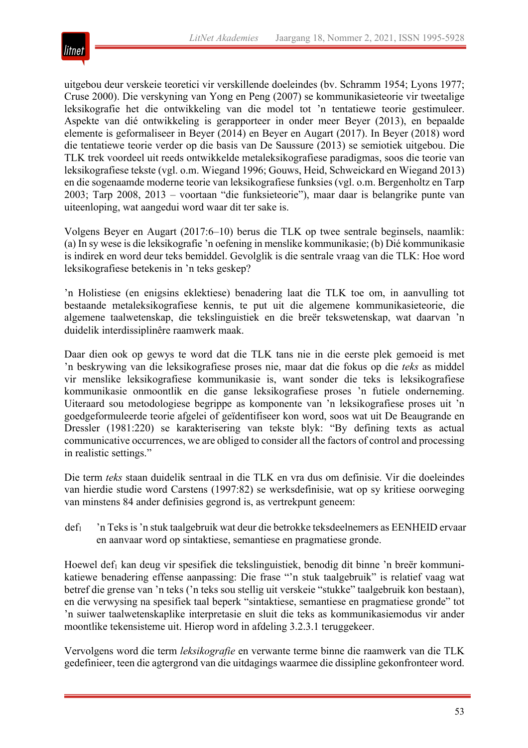

uitgebou deur verskeie teoretici vir verskillende doeleindes (bv. Schramm 1954; Lyons 1977; Cruse 2000). Die verskyning van Yong en Peng (2007) se kommunikasieteorie vir tweetalige leksikografie het die ontwikkeling van die model tot 'n tentatiewe teorie gestimuleer. Aspekte van dié ontwikkeling is gerapporteer in onder meer Beyer (2013), en bepaalde elemente is geformaliseer in Beyer (2014) en Beyer en Augart (2017). In Beyer (2018) word die tentatiewe teorie verder op die basis van De Saussure (2013) se semiotiek uitgebou. Die TLK trek voordeel uit reeds ontwikkelde metaleksikografiese paradigmas, soos die teorie van leksikografiese tekste (vgl. o.m. Wiegand 1996; Gouws, Heid, Schweickard en Wiegand 2013) en die sogenaamde moderne teorie van leksikografiese funksies (vgl. o.m. Bergenholtz en Tarp 2003; Tarp 2008, 2013 – voortaan "die funksieteorie"), maar daar is belangrike punte van uiteenloping, wat aangedui word waar dit ter sake is.

Volgens Beyer en Augart (2017:6–10) berus die TLK op twee sentrale beginsels, naamlik: (a) In sy wese is die leksikografie 'n oefening in menslike kommunikasie; (b) Dié kommunikasie is indirek en word deur teks bemiddel. Gevolglik is die sentrale vraag van die TLK: Hoe word leksikografiese betekenis in 'n teks geskep?

'n Holistiese (en enigsins eklektiese) benadering laat die TLK toe om, in aanvulling tot bestaande metaleksikografiese kennis, te put uit die algemene kommunikasieteorie, die algemene taalwetenskap, die tekslinguistiek en die breër tekswetenskap, wat daarvan 'n duidelik interdissiplinêre raamwerk maak.

Daar dien ook op gewys te word dat die TLK tans nie in die eerste plek gemoeid is met 'n beskrywing van die leksikografiese proses nie, maar dat die fokus op die *teks* as middel vir menslike leksikografiese kommunikasie is, want sonder die teks is leksikografiese kommunikasie onmoontlik en die ganse leksikografiese proses 'n futiele onderneming. Uiteraard sou metodologiese begrippe as komponente van 'n leksikografiese proses uit 'n goedgeformuleerde teorie afgelei of geïdentifiseer kon word, soos wat uit De Beaugrande en Dressler (1981:220) se karakterisering van tekste blyk: "By defining texts as actual communicative occurrences, we are obliged to consider all the factors of control and processing in realistic settings."

Die term *teks* staan duidelik sentraal in die TLK en vra dus om definisie. Vir die doeleindes van hierdie studie word Carstens (1997:82) se werksdefinisie, wat op sy kritiese oorweging van minstens 84 ander definisies gegrond is, as vertrekpunt geneem:

def1 'n Teks is 'n stuk taalgebruik wat deur die betrokke teksdeelnemers as EENHEID ervaar en aanvaar word op sintaktiese, semantiese en pragmatiese gronde.

Hoewel def<sub>1</sub> kan deug vir spesifiek die tekslinguistiek, benodig dit binne 'n breër kommunikatiewe benadering effense aanpassing: Die frase "'n stuk taalgebruik" is relatief vaag wat betref die grense van 'n teks ('n teks sou stellig uit verskeie "stukke" taalgebruik kon bestaan), en die verwysing na spesifiek taal beperk "sintaktiese, semantiese en pragmatiese gronde" tot 'n suiwer taalwetenskaplike interpretasie en sluit die teks as kommunikasiemodus vir ander moontlike tekensisteme uit. Hierop word in afdeling 3.2.3.1 teruggekeer.

Vervolgens word die term *leksikografie* en verwante terme binne die raamwerk van die TLK gedefinieer, teen die agtergrond van die uitdagings waarmee die dissipline gekonfronteer word.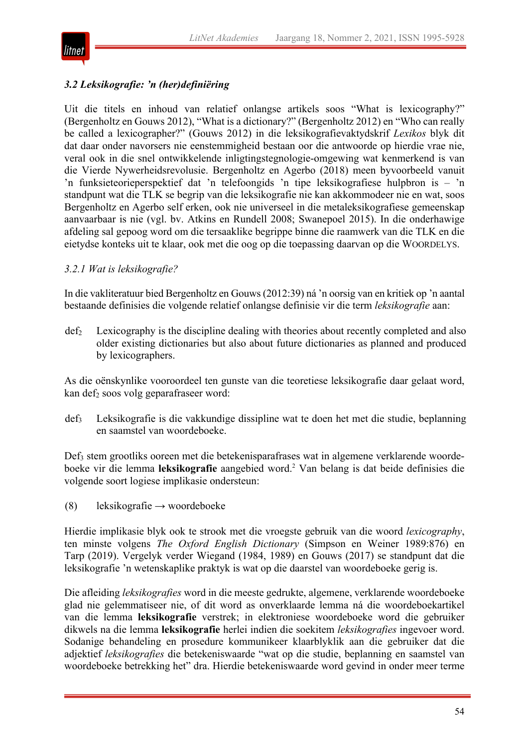

# *3.2 Leksikografie: 'n (her)definiëring*

Uit die titels en inhoud van relatief onlangse artikels soos "What is lexicography?" (Bergenholtz en Gouws 2012), "What is a dictionary?" (Bergenholtz 2012) en "Who can really be called a lexicographer?" (Gouws 2012) in die leksikografievaktydskrif *Lexikos* blyk dit dat daar onder navorsers nie eenstemmigheid bestaan oor die antwoorde op hierdie vrae nie, veral ook in die snel ontwikkelende inligtingstegnologie-omgewing wat kenmerkend is van die Vierde Nywerheidsrevolusie. Bergenholtz en Agerbo (2018) meen byvoorbeeld vanuit 'n funksieteorieperspektief dat 'n telefoongids 'n tipe leksikografiese hulpbron is – 'n standpunt wat die TLK se begrip van die leksikografie nie kan akkommodeer nie en wat, soos Bergenholtz en Agerbo self erken, ook nie universeel in die metaleksikografiese gemeenskap aanvaarbaar is nie (vgl. bv. Atkins en Rundell 2008; Swanepoel 2015). In die onderhawige afdeling sal gepoog word om die tersaaklike begrippe binne die raamwerk van die TLK en die eietydse konteks uit te klaar, ook met die oog op die toepassing daarvan op die WOORDELYS.

# *3.2.1 Wat is leksikografie?*

In die vakliteratuur bied Bergenholtz en Gouws (2012:39) ná 'n oorsig van en kritiek op 'n aantal bestaande definisies die volgende relatief onlangse definisie vir die term *leksikografie* aan:

def2 Lexicography is the discipline dealing with theories about recently completed and also older existing dictionaries but also about future dictionaries as planned and produced by lexicographers.

As die oënskynlike vooroordeel ten gunste van die teoretiese leksikografie daar gelaat word, kan def<sub>2</sub> soos volg geparafraseer word:

def3 Leksikografie is die vakkundige dissipline wat te doen het met die studie, beplanning en saamstel van woordeboeke.

Def3 stem grootliks ooreen met die betekenisparafrases wat in algemene verklarende woordeboeke vir die lemma **leksikografie** aangebied word.2 Van belang is dat beide definisies die volgende soort logiese implikasie ondersteun:

(8) leksikografie  $\rightarrow$  woordeboeke

Hierdie implikasie blyk ook te strook met die vroegste gebruik van die woord *lexicography*, ten minste volgens *The Oxford English Dictionary* (Simpson en Weiner 1989:876) en Tarp (2019). Vergelyk verder Wiegand (1984, 1989) en Gouws (2017) se standpunt dat die leksikografie 'n wetenskaplike praktyk is wat op die daarstel van woordeboeke gerig is.

Die afleiding *leksikografies* word in die meeste gedrukte, algemene, verklarende woordeboeke glad nie gelemmatiseer nie, of dit word as onverklaarde lemma ná die woordeboekartikel van die lemma **leksikografie** verstrek; in elektroniese woordeboeke word die gebruiker dikwels na die lemma **leksikografie** herlei indien die soekitem *leksikografies* ingevoer word. Sodanige behandeling en prosedure kommunikeer klaarblyklik aan die gebruiker dat die adjektief *leksikografies* die betekeniswaarde "wat op die studie, beplanning en saamstel van woordeboeke betrekking het" dra. Hierdie betekeniswaarde word gevind in onder meer terme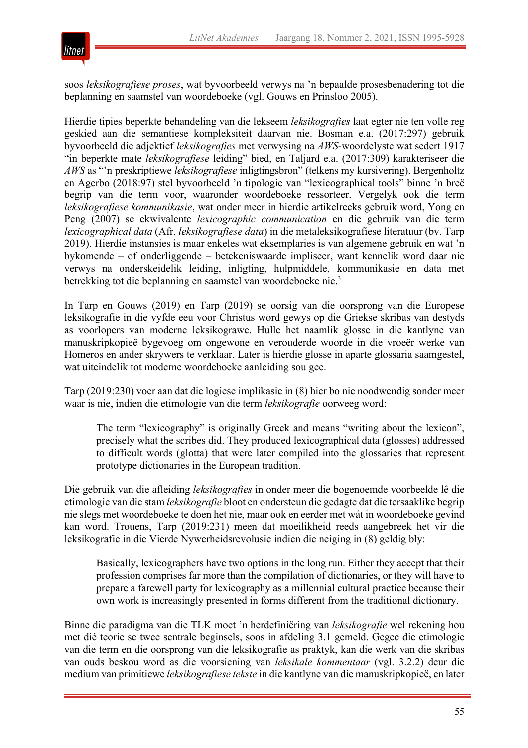

soos *leksikografiese proses*, wat byvoorbeeld verwys na 'n bepaalde prosesbenadering tot die beplanning en saamstel van woordeboeke (vgl. Gouws en Prinsloo 2005).

Hierdie tipies beperkte behandeling van die lekseem *leksikografies* laat egter nie ten volle reg geskied aan die semantiese kompleksiteit daarvan nie. Bosman e.a. (2017:297) gebruik byvoorbeeld die adjektief *leksikografies* met verwysing na *AWS*-woordelyste wat sedert 1917 "in beperkte mate *leksikografiese* leiding" bied, en Taljard e.a. (2017:309) karakteriseer die *AWS* as "'n preskriptiewe *leksikografiese* inligtingsbron" (telkens my kursivering). Bergenholtz en Agerbo (2018:97) stel byvoorbeeld 'n tipologie van "lexicographical tools" binne 'n breë begrip van die term voor, waaronder woordeboeke ressorteer. Vergelyk ook die term *leksikografiese kommunikasie*, wat onder meer in hierdie artikelreeks gebruik word, Yong en Peng (2007) se ekwivalente *lexicographic communication* en die gebruik van die term *lexicographical data* (Afr. *leksikografiese data*) in die metaleksikografiese literatuur (bv. Tarp 2019). Hierdie instansies is maar enkeles wat eksemplaries is van algemene gebruik en wat 'n bykomende – of onderliggende – betekeniswaarde impliseer, want kennelik word daar nie verwys na onderskeidelik leiding, inligting, hulpmiddele, kommunikasie en data met betrekking tot die beplanning en saamstel van woordeboeke nie.3

In Tarp en Gouws (2019) en Tarp (2019) se oorsig van die oorsprong van die Europese leksikografie in die vyfde eeu voor Christus word gewys op die Griekse skribas van destyds as voorlopers van moderne leksikograwe. Hulle het naamlik glosse in die kantlyne van manuskripkopieë bygevoeg om ongewone en verouderde woorde in die vroeër werke van Homeros en ander skrywers te verklaar. Later is hierdie glosse in aparte glossaria saamgestel, wat uiteindelik tot moderne woordeboeke aanleiding sou gee.

Tarp (2019:230) voer aan dat die logiese implikasie in (8) hier bo nie noodwendig sonder meer waar is nie, indien die etimologie van die term *leksikografie* oorweeg word:

The term "lexicography" is originally Greek and means "writing about the lexicon", precisely what the scribes did. They produced lexicographical data (glosses) addressed to difficult words (glotta) that were later compiled into the glossaries that represent prototype dictionaries in the European tradition.

Die gebruik van die afleiding *leksikografies* in onder meer die bogenoemde voorbeelde lê die etimologie van die stam *leksikografie* bloot en ondersteun die gedagte dat die tersaaklike begrip nie slegs met woordeboeke te doen het nie, maar ook en eerder met wát in woordeboeke gevind kan word. Trouens, Tarp (2019:231) meen dat moeilikheid reeds aangebreek het vir die leksikografie in die Vierde Nywerheidsrevolusie indien die neiging in (8) geldig bly:

Basically, lexicographers have two options in the long run. Either they accept that their profession comprises far more than the compilation of dictionaries, or they will have to prepare a farewell party for lexicography as a millennial cultural practice because their own work is increasingly presented in forms different from the traditional dictionary.

Binne die paradigma van die TLK moet 'n herdefiniëring van *leksikografie* wel rekening hou met dié teorie se twee sentrale beginsels, soos in afdeling 3.1 gemeld. Gegee die etimologie van die term en die oorsprong van die leksikografie as praktyk, kan die werk van die skribas van ouds beskou word as die voorsiening van *leksikale kommentaar* (vgl. 3.2.2) deur die medium van primitiewe *leksikografiese tekste* in die kantlyne van die manuskripkopieë, en later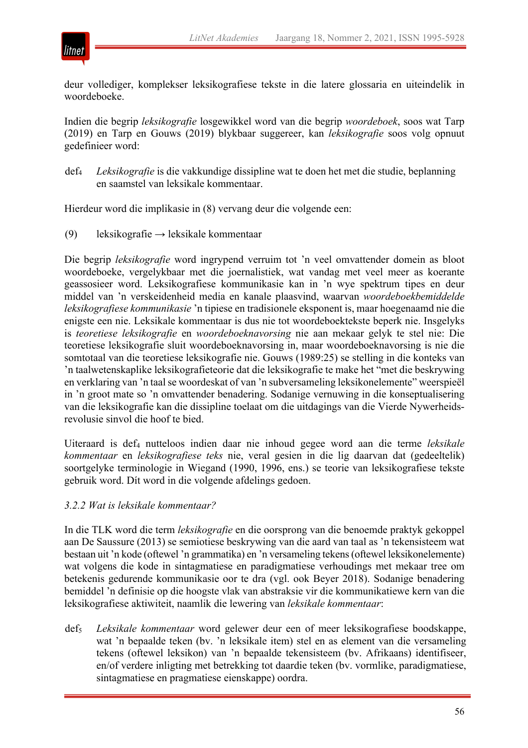

deur vollediger, komplekser leksikografiese tekste in die latere glossaria en uiteindelik in woordeboeke.

Indien die begrip *leksikografie* losgewikkel word van die begrip *woordeboek*, soos wat Tarp (2019) en Tarp en Gouws (2019) blykbaar suggereer, kan *leksikografie* soos volg opnuut gedefinieer word:

def4 *Leksikografie* is die vakkundige dissipline wat te doen het met die studie, beplanning en saamstel van leksikale kommentaar.

Hierdeur word die implikasie in (8) vervang deur die volgende een:

(9) leksikografie  $\rightarrow$  leksikale kommentaar

Die begrip *leksikografie* word ingrypend verruim tot 'n veel omvattender domein as bloot woordeboeke, vergelykbaar met die joernalistiek, wat vandag met veel meer as koerante geassosieer word. Leksikografiese kommunikasie kan in 'n wye spektrum tipes en deur middel van 'n verskeidenheid media en kanale plaasvind, waarvan *woordeboekbemiddelde leksikografiese kommunikasie* 'n tipiese en tradisionele eksponent is, maar hoegenaamd nie die enigste een nie. Leksikale kommentaar is dus nie tot woordeboektekste beperk nie. Insgelyks is *teoretiese leksikografie* en *woordeboeknavorsing* nie aan mekaar gelyk te stel nie: Die teoretiese leksikografie sluit woordeboeknavorsing in, maar woordeboeknavorsing is nie die somtotaal van die teoretiese leksikografie nie. Gouws (1989:25) se stelling in die konteks van 'n taalwetenskaplike leksikografieteorie dat die leksikografie te make het "met die beskrywing en verklaring van 'n taal se woordeskat of van 'n subversameling leksikonelemente" weerspieël in 'n groot mate so 'n omvattender benadering. Sodanige vernuwing in die konseptualisering van die leksikografie kan die dissipline toelaat om die uitdagings van die Vierde Nywerheidsrevolusie sinvol die hoof te bied.

Uiteraard is def4 nutteloos indien daar nie inhoud gegee word aan die terme *leksikale kommentaar* en *leksikografiese teks* nie, veral gesien in die lig daarvan dat (gedeeltelik) soortgelyke terminologie in Wiegand (1990, 1996, ens.) se teorie van leksikografiese tekste gebruik word. Dít word in die volgende afdelings gedoen.

# *3.2.2 Wat is leksikale kommentaar?*

In die TLK word die term *leksikografie* en die oorsprong van die benoemde praktyk gekoppel aan De Saussure (2013) se semiotiese beskrywing van die aard van taal as 'n tekensisteem wat bestaan uit 'n kode (oftewel 'n grammatika) en 'n versameling tekens (oftewel leksikonelemente) wat volgens die kode in sintagmatiese en paradigmatiese verhoudings met mekaar tree om betekenis gedurende kommunikasie oor te dra (vgl. ook Beyer 2018). Sodanige benadering bemiddel 'n definisie op die hoogste vlak van abstraksie vir die kommunikatiewe kern van die leksikografiese aktiwiteit, naamlik die lewering van *leksikale kommentaar*:

def5 *Leksikale kommentaar* word gelewer deur een of meer leksikografiese boodskappe, wat 'n bepaalde teken (bv. 'n leksikale item) stel en as element van die versameling tekens (oftewel leksikon) van 'n bepaalde tekensisteem (bv. Afrikaans) identifiseer, en/of verdere inligting met betrekking tot daardie teken (bv. vormlike, paradigmatiese, sintagmatiese en pragmatiese eienskappe) oordra.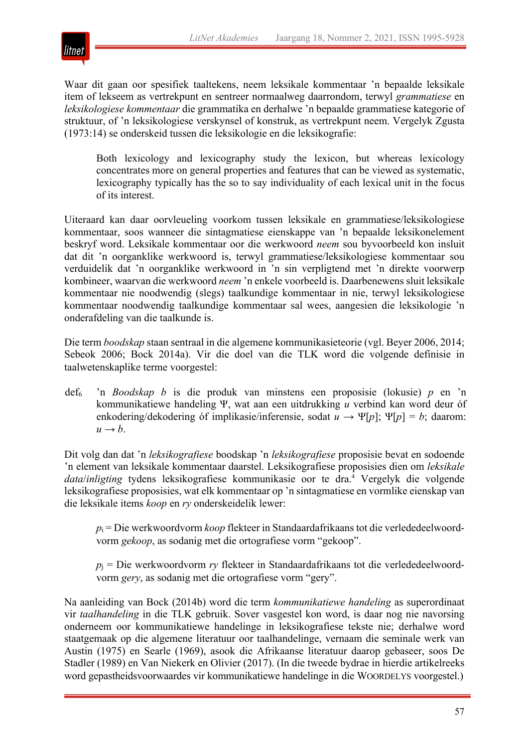

Waar dit gaan oor spesifiek taaltekens, neem leksikale kommentaar 'n bepaalde leksikale item of lekseem as vertrekpunt en sentreer normaalweg daarrondom, terwyl *grammatiese* en *leksikologiese kommentaar* die grammatika en derhalwe 'n bepaalde grammatiese kategorie of struktuur, of 'n leksikologiese verskynsel of konstruk, as vertrekpunt neem. Vergelyk Zgusta (1973:14) se onderskeid tussen die leksikologie en die leksikografie:

Both lexicology and lexicography study the lexicon, but whereas lexicology concentrates more on general properties and features that can be viewed as systematic, lexicography typically has the so to say individuality of each lexical unit in the focus of its interest.

Uiteraard kan daar oorvleueling voorkom tussen leksikale en grammatiese/leksikologiese kommentaar, soos wanneer die sintagmatiese eienskappe van 'n bepaalde leksikonelement beskryf word. Leksikale kommentaar oor die werkwoord *neem* sou byvoorbeeld kon insluit dat dit 'n oorganklike werkwoord is, terwyl grammatiese/leksikologiese kommentaar sou verduidelik dat 'n oorganklike werkwoord in 'n sin verpligtend met 'n direkte voorwerp kombineer, waarvan die werkwoord *neem* 'n enkele voorbeeld is. Daarbenewens sluit leksikale kommentaar nie noodwendig (slegs) taalkundige kommentaar in nie, terwyl leksikologiese kommentaar noodwendig taalkundige kommentaar sal wees, aangesien die leksikologie 'n onderafdeling van die taalkunde is.

Die term *boodskap* staan sentraal in die algemene kommunikasieteorie (vgl. Beyer 2006, 2014; Sebeok 2006; Bock 2014a). Vir die doel van die TLK word die volgende definisie in taalwetenskaplike terme voorgestel:

def6 'n *Boodskap b* is die produk van minstens een proposisie (lokusie) *p* en 'n kommunikatiewe handeling Ψ, wat aan een uitdrukking *u* verbind kan word deur óf enkodering/dekodering óf implikasie/inferensie, sodat  $u \rightarrow \Psi[p]$ ;  $\Psi[p] = b$ ; daarom:  $u \rightarrow b$ .

Dit volg dan dat 'n *leksikografiese* boodskap 'n *leksikografiese* proposisie bevat en sodoende 'n element van leksikale kommentaar daarstel. Leksikografiese proposisies dien om *leksikale data*/*inligting* tydens leksikografiese kommunikasie oor te dra.4 Vergelyk die volgende leksikografiese proposisies, wat elk kommentaar op 'n sintagmatiese en vormlike eienskap van die leksikale items *koop* en *ry* onderskeidelik lewer:

*p*<sup>i</sup> = Die werkwoordvorm *koop* flekteer in Standaardafrikaans tot die verlededeelwoordvorm *gekoop*, as sodanig met die ortografiese vorm "gekoop".

 $p_i$  = Die werkwoordvorm *ry* flekteer in Standaardafrikaans tot die verlededeelwoordvorm *gery*, as sodanig met die ortografiese vorm "gery".

Na aanleiding van Bock (2014b) word die term *kommunikatiewe handeling* as superordinaat vir *taalhandeling* in die TLK gebruik. Sover vasgestel kon word, is daar nog nie navorsing onderneem oor kommunikatiewe handelinge in leksikografiese tekste nie; derhalwe word staatgemaak op die algemene literatuur oor taalhandelinge, vernaam die seminale werk van Austin (1975) en Searle (1969), asook die Afrikaanse literatuur daarop gebaseer, soos De Stadler (1989) en Van Niekerk en Olivier (2017). (In die tweede bydrae in hierdie artikelreeks word gepastheidsvoorwaardes vir kommunikatiewe handelinge in die WOORDELYS voorgestel.)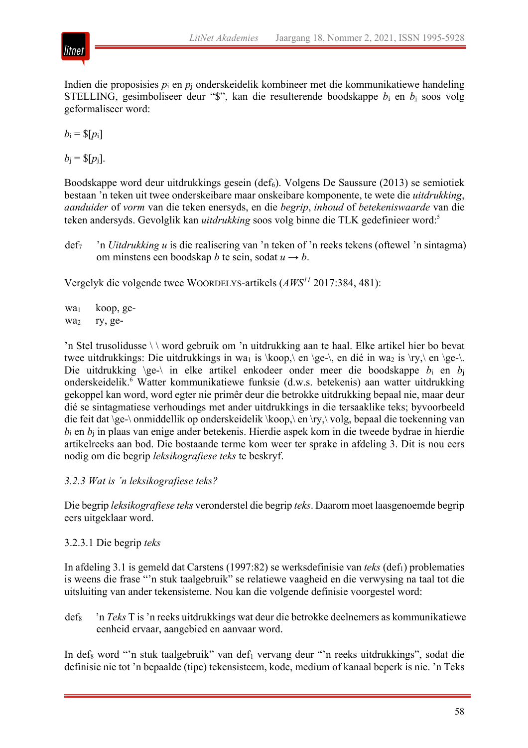

Indien die proposisies *p*<sup>i</sup> en *p*<sup>j</sup> onderskeidelik kombineer met die kommunikatiewe handeling STELLING, gesimboliseer deur "\$", kan die resulterende boodskappe  $b_i$  en  $b_j$  soos volg geformaliseer word:

 $b_i = \frac{\S{p_i}}{ }$ 

 $b_i = \frac{\S[p_i]}{k}$ .

Boodskappe word deur uitdrukkings gesein (def<sub>6</sub>). Volgens De Saussure (2013) se semiotiek bestaan 'n teken uit twee onderskeibare maar onskeibare komponente, te wete die *uitdrukking*, *aanduider* of *vorm* van die teken enersyds, en die *begrip*, *inhoud* of *betekeniswaarde* van die teken andersyds. Gevolglik kan *uitdrukking* soos volg binne die TLK gedefinieer word:5

def7 'n *Uitdrukking u* is die realisering van 'n teken of 'n reeks tekens (oftewel 'n sintagma) om minstens een boodskap *b* te sein, sodat  $u \rightarrow b$ .

Vergelyk die volgende twee WOORDELYS-artikels (*AWS11* 2017:384, 481):

wa<sub>1</sub> wa<sub>2</sub> koop, gery, ge-

'n Stel trusolidusse \ \ word gebruik om 'n uitdrukking aan te haal. Elke artikel hier bo bevat twee uitdrukkings: Die uitdrukkings in wa<sub>1</sub> is \koop,\ en \ge-\, en dié in wa<sub>2</sub> is \ry,\ en \ge-\. Die uitdrukking \ge-\ in elke artikel enkodeer onder meer die boodskappe *b*<sub>i</sub> en *b*<sub>i</sub> onderskeidelik.6 Watter kommunikatiewe funksie (d.w.s. betekenis) aan watter uitdrukking gekoppel kan word, word egter nie primêr deur die betrokke uitdrukking bepaal nie, maar deur dié se sintagmatiese verhoudings met ander uitdrukkings in die tersaaklike teks; byvoorbeeld die feit dat \ge-\ onmiddellik op onderskeidelik \koop,\ en \ry,\ volg, bepaal die toekenning van *b*<sup>i</sup> en *b*<sup>j</sup> in plaas van enige ander betekenis. Hierdie aspek kom in die tweede bydrae in hierdie artikelreeks aan bod. Die bostaande terme kom weer ter sprake in afdeling 3. Dit is nou eers nodig om die begrip *leksikografiese teks* te beskryf.

# *3.2.3 Wat is 'n leksikografiese teks?*

Die begrip *leksikografiese teks* veronderstel die begrip *teks*. Daarom moet laasgenoemde begrip eers uitgeklaar word.

# 3.2.3.1 Die begrip *teks*

In afdeling 3.1 is gemeld dat Carstens (1997:82) se werksdefinisie van *teks* (def<sub>1</sub>) problematies is weens die frase "'n stuk taalgebruik" se relatiewe vaagheid en die verwysing na taal tot die uitsluiting van ander tekensisteme. Nou kan die volgende definisie voorgestel word:

def8 'n *Teks* T is 'n reeks uitdrukkings wat deur die betrokke deelnemers as kommunikatiewe eenheid ervaar, aangebied en aanvaar word.

In def<sub>8</sub> word "'n stuk taalgebruik" van def<sub>1</sub> vervang deur "'n reeks uitdrukkings", sodat die definisie nie tot 'n bepaalde (tipe) tekensisteem, kode, medium of kanaal beperk is nie. 'n Teks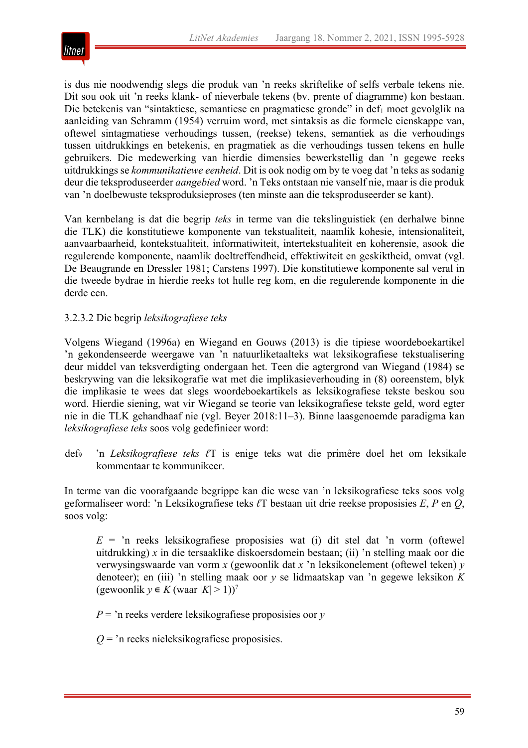

is dus nie noodwendig slegs die produk van 'n reeks skriftelike of selfs verbale tekens nie. Dit sou ook uit 'n reeks klank- of nieverbale tekens (bv. prente of diagramme) kon bestaan. Die betekenis van "sintaktiese, semantiese en pragmatiese gronde" in def<sub>1</sub> moet gevolglik na aanleiding van Schramm (1954) verruim word, met sintaksis as die formele eienskappe van, oftewel sintagmatiese verhoudings tussen, (reekse) tekens, semantiek as die verhoudings tussen uitdrukkings en betekenis, en pragmatiek as die verhoudings tussen tekens en hulle gebruikers. Die medewerking van hierdie dimensies bewerkstellig dan 'n gegewe reeks uitdrukkings se *kommunikatiewe eenheid*. Dit is ook nodig om by te voeg dat 'n teks as sodanig deur die teksproduseerder *aangebied* word. 'n Teks ontstaan nie vanself nie, maar is die produk van 'n doelbewuste teksproduksieproses (ten minste aan die teksproduseerder se kant).

Van kernbelang is dat die begrip *teks* in terme van die tekslinguistiek (en derhalwe binne die TLK) die konstitutiewe komponente van tekstualiteit, naamlik kohesie, intensionaliteit, aanvaarbaarheid, kontekstualiteit, informatiwiteit, intertekstualiteit en koherensie, asook die regulerende komponente, naamlik doeltreffendheid, effektiwiteit en geskiktheid, omvat (vgl. De Beaugrande en Dressler 1981; Carstens 1997). Die konstitutiewe komponente sal veral in die tweede bydrae in hierdie reeks tot hulle reg kom, en die regulerende komponente in die derde een.

# 3.2.3.2 Die begrip *leksikografiese teks*

Volgens Wiegand (1996a) en Wiegand en Gouws (2013) is die tipiese woordeboekartikel 'n gekondenseerde weergawe van 'n natuurliketaalteks wat leksikografiese tekstualisering deur middel van teksverdigting ondergaan het. Teen die agtergrond van Wiegand (1984) se beskrywing van die leksikografie wat met die implikasieverhouding in (8) ooreenstem, blyk die implikasie te wees dat slegs woordeboekartikels as leksikografiese tekste beskou sou word. Hierdie siening, wat vir Wiegand se teorie van leksikografiese tekste geld, word egter nie in die TLK gehandhaaf nie (vgl. Beyer 2018:11–3). Binne laasgenoemde paradigma kan *leksikografiese teks* soos volg gedefinieer word:

def9 'n *Leksikografiese teks ℓ*T is enige teks wat die primêre doel het om leksikale kommentaar te kommunikeer.

In terme van die voorafgaande begrippe kan die wese van 'n leksikografiese teks soos volg geformaliseer word: 'n Leksikografiese teks *ℓ*T bestaan uit drie reekse proposisies *E*, *P* en *Q*, soos volg:

 $E = \text{in}$  reeks leksikografiese proposisies wat (i) dit stel dat 'n vorm (oftewel uitdrukking) *x* in die tersaaklike diskoersdomein bestaan; (ii) 'n stelling maak oor die verwysingswaarde van vorm *x* (gewoonlik dat *x* 'n leksikonelement (oftewel teken) *y* denoteer); en (iii) 'n stelling maak oor *y* se lidmaatskap van 'n gegewe leksikon *K*  $(\text{gewoonlik } y \in K (\text{waar } |K| > 1))^7$ 

*P* = 'n reeks verdere leksikografiese proposisies oor *y*

*Q* = 'n reeks nieleksikografiese proposisies.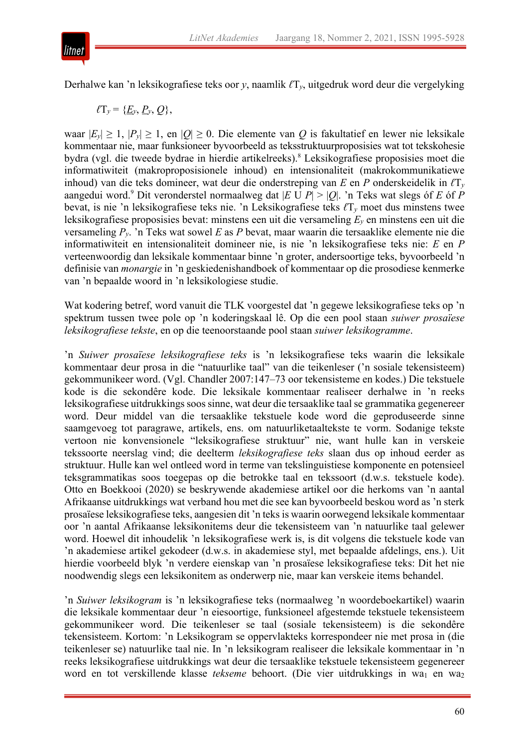

Derhalwe kan 'n leksikografiese teks oor *y*, naamlik *ℓ*T*y*, uitgedruk word deur die vergelyking

 $\ell T_v = \{E_v, P_v, Q\},\$ 

waar  $|E_y| \ge 1$ ,  $|P_y| \ge 1$ , en  $|Q| \ge 0$ . Die elemente van *Q* is fakultatief en lewer nie leksikale kommentaar nie, maar funksioneer byvoorbeeld as teksstruktuurproposisies wat tot tekskohesie bydra (vgl. die tweede bydrae in hierdie artikelreeks).<sup>8</sup> Leksikografiese proposisies moet die informatiwiteit (makroproposisionele inhoud) en intensionaliteit (makrokommunikatiewe inhoud) van die teks domineer, wat deur die onderstreping van *E* en *P* onderskeidelik in *ℓ*T*<sup>y</sup>* aangedui word.<sup>9</sup> Dit veronderstel normaalweg dat  $|E \cup P| > |Q|$ . 'n Teks wat slegs óf *E* óf *P* bevat, is nie 'n leksikografiese teks nie. 'n Leksikografiese teks *ℓ*T*<sup>y</sup>* moet dus minstens twee leksikografiese proposisies bevat: minstens een uit die versameling *Ey* en minstens een uit die versameling *Py*. 'n Teks wat sowel *E* as *P* bevat, maar waarin die tersaaklike elemente nie die informatiwiteit en intensionaliteit domineer nie, is nie 'n leksikografiese teks nie: *E* en *P* verteenwoordig dan leksikale kommentaar binne 'n groter, andersoortige teks, byvoorbeeld 'n definisie van *monargie* in 'n geskiedenishandboek of kommentaar op die prosodiese kenmerke van 'n bepaalde woord in 'n leksikologiese studie.

Wat kodering betref, word vanuit die TLK voorgestel dat 'n gegewe leksikografiese teks op 'n spektrum tussen twee pole op 'n koderingskaal lê. Op die een pool staan *suiwer prosaïese leksikografiese tekste*, en op die teenoorstaande pool staan *suiwer leksikogramme*.

'n *Suiwer prosaïese leksikografiese teks* is 'n leksikografiese teks waarin die leksikale kommentaar deur prosa in die "natuurlike taal" van die teikenleser ('n sosiale tekensisteem) gekommunikeer word. (Vgl. Chandler 2007:147–73 oor tekensisteme en kodes.) Die tekstuele kode is die sekondêre kode. Die leksikale kommentaar realiseer derhalwe in 'n reeks leksikografiese uitdrukkings soos sinne, wat deur die tersaaklike taal se grammatika gegenereer word. Deur middel van die tersaaklike tekstuele kode word die geproduseerde sinne saamgevoeg tot paragrawe, artikels, ens. om natuurliketaaltekste te vorm. Sodanige tekste vertoon nie konvensionele "leksikografiese struktuur" nie, want hulle kan in verskeie tekssoorte neerslag vind; die deelterm *leksikografiese teks* slaan dus op inhoud eerder as struktuur. Hulle kan wel ontleed word in terme van tekslinguistiese komponente en potensieel teksgrammatikas soos toegepas op die betrokke taal en tekssoort (d.w.s. tekstuele kode). Otto en Boekkooi (2020) se beskrywende akademiese artikel oor die herkoms van 'n aantal Afrikaanse uitdrukkings wat verband hou met die see kan byvoorbeeld beskou word as 'n sterk prosaïese leksikografiese teks, aangesien dit 'n teks is waarin oorwegend leksikale kommentaar oor 'n aantal Afrikaanse leksikonitems deur die tekensisteem van 'n natuurlike taal gelewer word. Hoewel dit inhoudelik 'n leksikografiese werk is, is dit volgens die tekstuele kode van 'n akademiese artikel gekodeer (d.w.s. in akademiese styl, met bepaalde afdelings, ens.). Uit hierdie voorbeeld blyk 'n verdere eienskap van 'n prosaïese leksikografiese teks: Dit het nie noodwendig slegs een leksikonitem as onderwerp nie, maar kan verskeie items behandel.

'n *Suiwer leksikogram* is 'n leksikografiese teks (normaalweg 'n woordeboekartikel) waarin die leksikale kommentaar deur 'n eiesoortige, funksioneel afgestemde tekstuele tekensisteem gekommunikeer word. Die teikenleser se taal (sosiale tekensisteem) is die sekondêre tekensisteem. Kortom: 'n Leksikogram se oppervlakteks korrespondeer nie met prosa in (die teikenleser se) natuurlike taal nie. In 'n leksikogram realiseer die leksikale kommentaar in 'n reeks leksikografiese uitdrukkings wat deur die tersaaklike tekstuele tekensisteem gegenereer word en tot verskillende klasse *tekseme* behoort. (Die vier uitdrukkings in wa<sub>1</sub> en wa<sub>2</sub>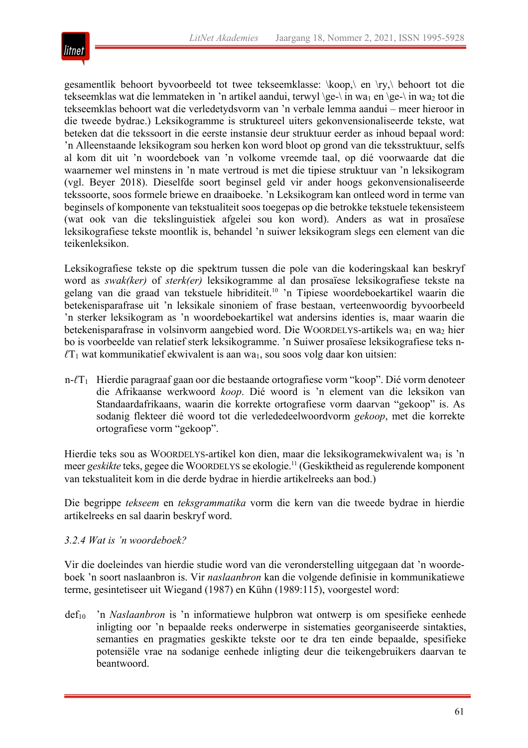

gesamentlik behoort byvoorbeeld tot twee tekseemklasse: \koop,\ en \ry,\ behoort tot die tekseemklas wat die lemmateken in 'n artikel aandui, terwyl \ge-\ in wa<sub>1</sub> en \ge-\ in wa<sub>2</sub> tot die tekseemklas behoort wat die verledetydsvorm van 'n verbale lemma aandui – meer hieroor in die tweede bydrae.) Leksikogramme is struktureel uiters gekonvensionaliseerde tekste, wat beteken dat die tekssoort in die eerste instansie deur struktuur eerder as inhoud bepaal word: 'n Alleenstaande leksikogram sou herken kon word bloot op grond van die teksstruktuur, selfs al kom dit uit 'n woordeboek van 'n volkome vreemde taal, op dié voorwaarde dat die waarnemer wel minstens in 'n mate vertroud is met die tipiese struktuur van 'n leksikogram (vgl. Beyer 2018). Dieselfde soort beginsel geld vir ander hoogs gekonvensionaliseerde tekssoorte, soos formele briewe en draaiboeke. 'n Leksikogram kan ontleed word in terme van beginsels of komponente van tekstualiteit soos toegepas op die betrokke tekstuele tekensisteem (wat ook van die tekslinguistiek afgelei sou kon word). Anders as wat in prosaïese leksikografiese tekste moontlik is, behandel 'n suiwer leksikogram slegs een element van die teikenleksikon.

Leksikografiese tekste op die spektrum tussen die pole van die koderingskaal kan beskryf word as *swak(ker)* of *sterk(er)* leksikogramme al dan prosaïese leksikografiese tekste na gelang van die graad van tekstuele hibriditeit.<sup>10</sup> 'n Tipiese woordeboekartikel waarin die betekenisparafrase uit 'n leksikale sinoniem of frase bestaan, verteenwoordig byvoorbeeld 'n sterker leksikogram as 'n woordeboekartikel wat andersins identies is, maar waarin die betekenisparafrase in volsinvorm aangebied word. Die WOORDELYS-artikels wa<sub>1</sub> en wa<sub>2</sub> hier bo is voorbeelde van relatief sterk leksikogramme. 'n Suiwer prosaïese leksikografiese teks n $l_{\text{t}}$  wat kommunikatief ekwivalent is aan wa<sub>1</sub>, sou soos volg daar kon uitsien:

n- $\ell T_1$  Hierdie paragraaf gaan oor die bestaande ortografiese vorm "koop". Dié vorm denoteer die Afrikaanse werkwoord *koop*. Dié woord is 'n element van die leksikon van Standaardafrikaans, waarin die korrekte ortografiese vorm daarvan "gekoop" is. As sodanig flekteer dié woord tot die verlededeelwoordvorm *gekoop*, met die korrekte ortografiese vorm "gekoop".

Hierdie teks sou as WOORDELYS-artikel kon dien, maar die leksikogramekwivalent wa<sub>1</sub> is 'n meer *geskikte* teks, gegee die WOORDELYS se ekologie.11 (Geskiktheid asregulerende komponent van tekstualiteit kom in die derde bydrae in hierdie artikelreeks aan bod.)

Die begrippe *tekseem* en *teksgrammatika* vorm die kern van die tweede bydrae in hierdie artikelreeks en sal daarin beskryf word.

# *3.2.4 Wat is 'n woordeboek?*

Vir die doeleindes van hierdie studie word van die veronderstelling uitgegaan dat 'n woordeboek 'n soort naslaanbron is. Vir *naslaanbron* kan die volgende definisie in kommunikatiewe terme, gesintetiseer uit Wiegand (1987) en Kühn (1989:115), voorgestel word:

def<sub>10</sub> 'n *Naslaanbron* is 'n informatiewe hulpbron wat ontwerp is om spesifieke eenhede inligting oor 'n bepaalde reeks onderwerpe in sistematies georganiseerde sintakties, semanties en pragmaties geskikte tekste oor te dra ten einde bepaalde, spesifieke potensiële vrae na sodanige eenhede inligting deur die teikengebruikers daarvan te beantwoord.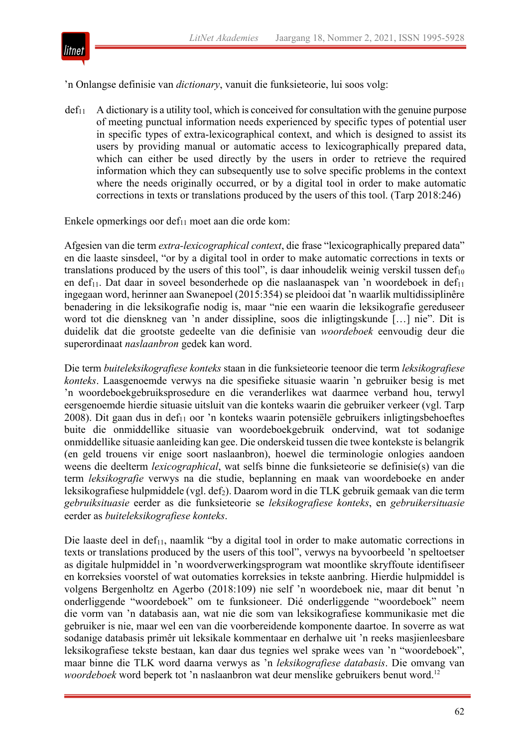

'n Onlangse definisie van *dictionary*, vanuit die funksieteorie, lui soos volg:

 $def_{11}$  A dictionary is a utility tool, which is conceived for consultation with the genuine purpose of meeting punctual information needs experienced by specific types of potential user in specific types of extra-lexicographical context, and which is designed to assist its users by providing manual or automatic access to lexicographically prepared data, which can either be used directly by the users in order to retrieve the required information which they can subsequently use to solve specific problems in the context where the needs originally occurred, or by a digital tool in order to make automatic corrections in texts or translations produced by the users of this tool. (Tarp 2018:246)

Enkele opmerkings oor def $_{11}$  moet aan die orde kom:

Afgesien van die term *extra-lexicographical context*, die frase "lexicographically prepared data" en die laaste sinsdeel, "or by a digital tool in order to make automatic corrections in texts or translations produced by the users of this tool", is daar inhoudelik weinig verskil tussen  $\text{def}_{10}$ en def<sub>11</sub>. Dat daar in soveel besonderhede op die naslaanaspek van 'n woordeboek in def<sub>11</sub> ingegaan word, herinner aan Swanepoel (2015:354) se pleidooi dat 'n waarlik multidissiplinêre benadering in die leksikografie nodig is, maar "nie een waarin die leksikografie gereduseer word tot die dienskneg van 'n ander dissipline, soos die inligtingskunde […] nie". Dit is duidelik dat die grootste gedeelte van die definisie van *woordeboek* eenvoudig deur die superordinaat *naslaanbron* gedek kan word.

Die term *buiteleksikografiese konteks* staan in die funksieteorie teenoor die term *leksikografiese konteks*. Laasgenoemde verwys na die spesifieke situasie waarin 'n gebruiker besig is met 'n woordeboekgebruiksprosedure en die veranderlikes wat daarmee verband hou, terwyl eersgenoemde hierdie situasie uitsluit van die konteks waarin die gebruiker verkeer (vgl. Tarp  $2008$ ). Dit gaan dus in def<sub>11</sub> oor 'n konteks waarin potensiële gebruikers inligtingsbehoeftes buite die onmiddellike situasie van woordeboekgebruik ondervind, wat tot sodanige onmiddellike situasie aanleiding kan gee. Die onderskeid tussen die twee kontekste is belangrik (en geld trouens vir enige soort naslaanbron), hoewel die terminologie onlogies aandoen weens die deelterm *lexicographical*, wat selfs binne die funksieteorie se definisie(s) van die term *leksikografie* verwys na die studie, beplanning en maak van woordeboeke en ander leksikografiese hulpmiddele (vgl. def2). Daarom word in die TLK gebruik gemaak van die term *gebruiksituasie* eerder as die funksieteorie se *leksikografiese konteks*, en *gebruikersituasie* eerder as *buiteleksikografiese konteks*.

Die laaste deel in def<sub>11</sub>, naamlik "by a digital tool in order to make automatic corrections in texts or translations produced by the users of this tool", verwys na byvoorbeeld 'n speltoetser as digitale hulpmiddel in 'n woordverwerkingsprogram wat moontlike skryffoute identifiseer en korreksies voorstel of wat outomaties korreksies in tekste aanbring. Hierdie hulpmiddel is volgens Bergenholtz en Agerbo (2018:109) nie self 'n woordeboek nie, maar dit benut 'n onderliggende "woordeboek" om te funksioneer. Dié onderliggende "woordeboek" neem die vorm van 'n databasis aan, wat nie die som van leksikografiese kommunikasie met die gebruiker is nie, maar wel een van die voorbereidende komponente daartoe. In soverre as wat sodanige databasis primêr uit leksikale kommentaar en derhalwe uit 'n reeks masjienleesbare leksikografiese tekste bestaan, kan daar dus tegnies wel sprake wees van 'n "woordeboek", maar binne die TLK word daarna verwys as 'n *leksikografiese databasis*. Die omvang van *woordeboek* word beperk tot 'n naslaanbron wat deur menslike gebruikers benut word.12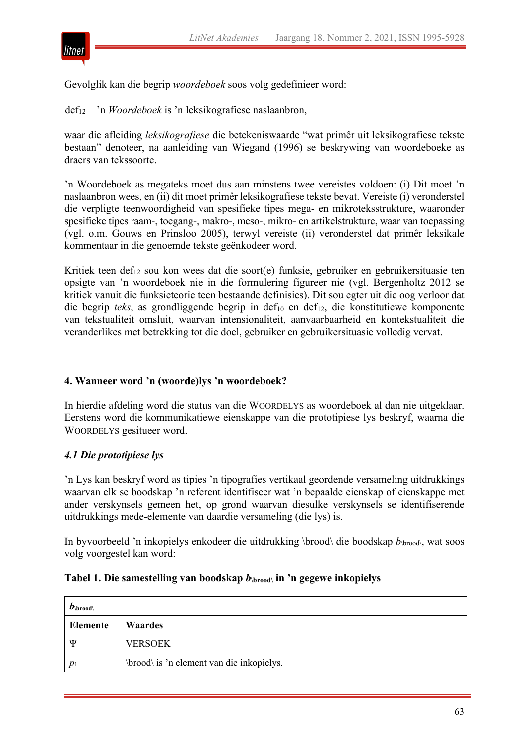

Gevolglik kan die begrip *woordeboek* soos volg gedefinieer word:

def12 'n *Woordeboek* is 'n leksikografiese naslaanbron,

waar die afleiding *leksikografiese* die betekeniswaarde "wat primêr uit leksikografiese tekste bestaan" denoteer, na aanleiding van Wiegand (1996) se beskrywing van woordeboeke as draers van tekssoorte.

'n Woordeboek as megateks moet dus aan minstens twee vereistes voldoen: (i) Dit moet 'n naslaanbron wees, en (ii) dit moet primêr leksikografiese tekste bevat. Vereiste (i) veronderstel die verpligte teenwoordigheid van spesifieke tipes mega- en mikroteksstrukture, waaronder spesifieke tipes raam-, toegang-, makro-, meso-, mikro- en artikelstrukture, waar van toepassing (vgl. o.m. Gouws en Prinsloo 2005), terwyl vereiste (ii) veronderstel dat primêr leksikale kommentaar in die genoemde tekste geënkodeer word.

Kritiek teen def<sub>12</sub> sou kon wees dat die soort(e) funksie, gebruiker en gebruikersituasie ten opsigte van 'n woordeboek nie in die formulering figureer nie (vgl. Bergenholtz 2012 se kritiek vanuit die funksieteorie teen bestaande definisies). Dit sou egter uit die oog verloor dat die begrip *teks*, as grondliggende begrip in def<sub>10</sub> en def<sub>12</sub>, die konstitutiewe komponente van tekstualiteit omsluit, waarvan intensionaliteit, aanvaarbaarheid en kontekstualiteit die veranderlikes met betrekking tot die doel, gebruiker en gebruikersituasie volledig vervat.

# **4. Wanneer word 'n (woorde)lys 'n woordeboek?**

In hierdie afdeling word die status van die WOORDELYS as woordeboek al dan nie uitgeklaar. Eerstens word die kommunikatiewe eienskappe van die prototipiese lys beskryf, waarna die WOORDELYS gesitueer word.

# *4.1 Die prototipiese lys*

'n Lys kan beskryf word as tipies 'n tipografies vertikaal geordende versameling uitdrukkings waarvan elk se boodskap 'n referent identifiseer wat 'n bepaalde eienskap of eienskappe met ander verskynsels gemeen het, op grond waarvan diesulke verskynsels se identifiserende uitdrukkings mede-elemente van daardie versameling (die lys) is.

In byvoorbeeld 'n inkopielys enkodeer die uitdrukking \brood\ die boodskap  $b\text{submod}$ , wat soos volg voorgestel kan word:

| $\bm{D}$ \brood\ |                                           |
|------------------|-------------------------------------------|
| Elemente         | <b>Waardes</b>                            |
| Ψ                | <b>VERSOEK</b>                            |
| $p_1$            | \brood\ is 'n element van die inkopielys. |

#### **Tabel 1. Die samestelling van boodskap** *b***\brood\ in 'n gegewe inkopielys**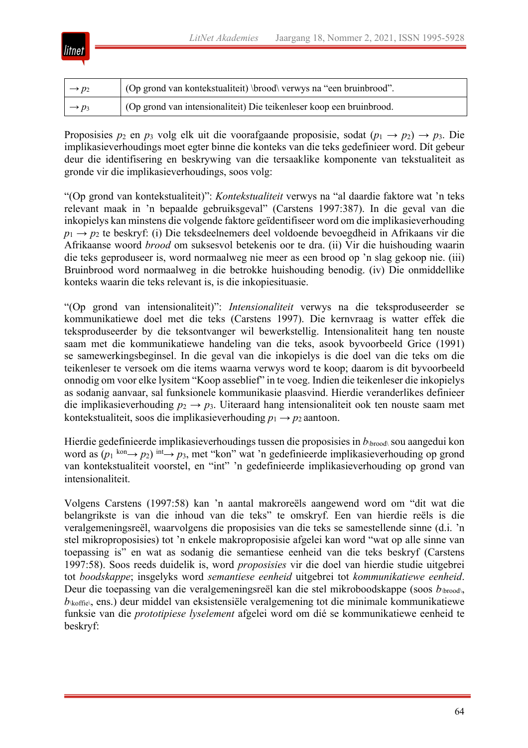

| $\rightarrow p_2$ | (Op grond van kontekstualiteit) \brood\ verwys na "een bruinbrood".  |
|-------------------|----------------------------------------------------------------------|
| $\rightarrow p_3$ | (Op grond van intensionaliteit) Die teikenleser koop een bruinbrood. |

Proposisies  $p_2$  en  $p_3$  volg elk uit die voorafgaande proposisie, sodat  $(p_1 \rightarrow p_2) \rightarrow p_3$ . Die implikasieverhoudings moet egter binne die konteks van die teks gedefinieer word. Dít gebeur deur die identifisering en beskrywing van die tersaaklike komponente van tekstualiteit as gronde vir die implikasieverhoudings, soos volg:

"(Op grond van kontekstualiteit)": *Kontekstualiteit* verwys na "al daardie faktore wat 'n teks relevant maak in 'n bepaalde gebruiksgeval" (Carstens 1997:387). In die geval van die inkopielys kan minstens die volgende faktore geïdentifiseer word om die implikasieverhouding *p*<sup>1</sup> → *p*<sup>2</sup> te beskryf: (i) Die teksdeelnemers deel voldoende bevoegdheid in Afrikaans vir die Afrikaanse woord *brood* om suksesvol betekenis oor te dra. (ii) Vir die huishouding waarin die teks geproduseer is, word normaalweg nie meer as een brood op 'n slag gekoop nie. (iii) Bruinbrood word normaalweg in die betrokke huishouding benodig. (iv) Die onmiddellike konteks waarin die teks relevant is, is die inkopiesituasie.

"(Op grond van intensionaliteit)": *Intensionaliteit* verwys na die teksproduseerder se kommunikatiewe doel met die teks (Carstens 1997). Die kernvraag is watter effek die teksproduseerder by die teksontvanger wil bewerkstellig. Intensionaliteit hang ten nouste saam met die kommunikatiewe handeling van die teks, asook byvoorbeeld Grice (1991) se samewerkingsbeginsel. In die geval van die inkopielys is die doel van die teks om die teikenleser te versoek om die items waarna verwys word te koop; daarom is dit byvoorbeeld onnodig om voor elke lysitem "Koop asseblief" in te voeg. Indien die teikenleser die inkopielys as sodanig aanvaar, sal funksionele kommunikasie plaasvind. Hierdie veranderlikes definieer die implikasieverhouding  $p_2 \rightarrow p_3$ . Uiteraard hang intensionaliteit ook ten nouste saam met kontekstualiteit, soos die implikasieverhouding  $p_1 \rightarrow p_2$  aantoon.

Hierdie gedefinieerde implikasieverhoudings tussen die proposisies in  $b\textsub>wood\$  sou aangedui kon word as  $(p_1^{kon} \rightarrow p_2)$  int $\rightarrow p_3$ , met "kon" wat 'n gedefinieerde implikasieverhouding op grond van kontekstualiteit voorstel, en "int" 'n gedefinieerde implikasieverhouding op grond van intensionaliteit.

Volgens Carstens (1997:58) kan 'n aantal makroreëls aangewend word om "dit wat die belangrikste is van die inhoud van die teks" te omskryf. Een van hierdie reëls is die veralgemeningsreël, waarvolgens die proposisies van die teks se samestellende sinne (d.i. 'n stel mikroproposisies) tot 'n enkele makroproposisie afgelei kan word "wat op alle sinne van toepassing is" en wat as sodanig die semantiese eenheid van die teks beskryf (Carstens 1997:58). Soos reeds duidelik is, word *proposisies* vir die doel van hierdie studie uitgebrei tot *boodskappe*; insgelyks word *semantiese eenheid* uitgebrei tot *kommunikatiewe eenheid*. Deur die toepassing van die veralgemeningsreël kan die stel mikroboodskappe (soos *b*\brood\,  $b_{\text{koffie}}$ , ens.) deur middel van eksistensiële veralgemening tot die minimale kommunikatiewe funksie van die *prototipiese lyselement* afgelei word om dié se kommunikatiewe eenheid te beskryf: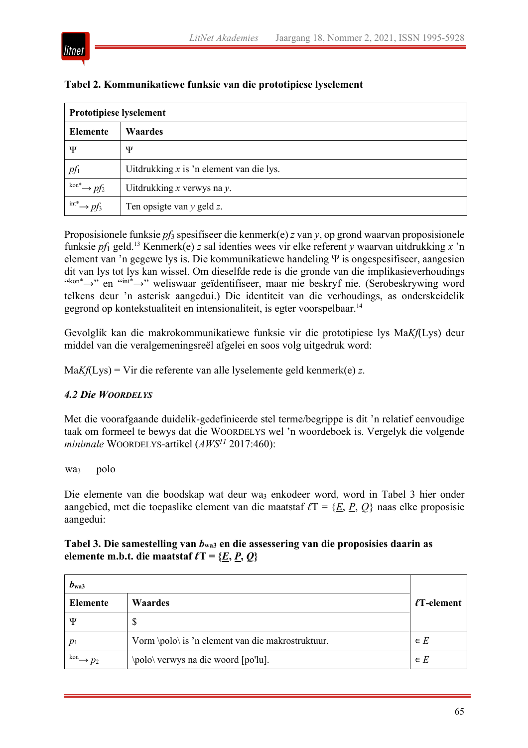

| <b>Prototipiese lyselement</b>             |                                            |  |
|--------------------------------------------|--------------------------------------------|--|
| <b>Elemente</b>                            | <b>Waardes</b>                             |  |
| Ψ                                          | Ψ                                          |  |
| $pf_1$                                     | Uitdrukking $x$ is 'n element van die lys. |  |
| $\lim^* \rightarrow pf_2$                  | Uitdrukking $x$ verwys na $y$ .            |  |
| $\lim_{t \to \infty}$ $\rightarrow$ $pf_3$ | Ten opsigte van $y$ geld $z$ .             |  |

#### **Tabel 2. Kommunikatiewe funksie van die prototipiese lyselement**

Proposisionele funksie *pf*<sup>3</sup> spesifiseer die kenmerk(e) *z* van *y*, op grond waarvan proposisionele funksie *pf*<sup>1</sup> geld.13 Kenmerk(e) *z* sal identies wees vir elke referent *y* waarvan uitdrukking *x* 'n element van 'n gegewe lys is. Die kommunikatiewe handeling Ψ is ongespesifiseer, aangesien dit van lys tot lys kan wissel. Om dieselfde rede is die gronde van die implikasieverhoudings "kon\*→" en "int\*→" weliswaar geïdentifiseer, maar nie beskryf nie. (Serobeskrywing word telkens deur 'n asterisk aangedui.) Die identiteit van die verhoudings, as onderskeidelik gegrond op kontekstualiteit en intensionaliteit, is egter voorspelbaar.14

Gevolglik kan die makrokommunikatiewe funksie vir die prototipiese lys Ma*Kf*(Lys) deur middel van die veralgemeningsreël afgelei en soos volg uitgedruk word:

Ma*Kf*(Lys) = Vir die referente van alle lyselemente geld kenmerk(e) *z*.

# *4.2 Die WOORDELYS*

Met die voorafgaande duidelik-gedefinieerde stel terme/begrippe is dit 'n relatief eenvoudige taak om formeel te bewys dat die WOORDELYS wel 'n woordeboek is. Vergelyk die volgende *minimale* WOORDELYS-artikel (*AWS11* 2017:460):

wa3 polo

Die elemente van die boodskap wat deur wa<sub>3</sub> enkodeer word, word in Tabel 3 hier onder aangebied, met die toepaslike element van die maatstaf *ℓ*T = {*E*, *P*, *Q*} naas elke proposisie aangedui:

# **Tabel 3. Die samestelling van** *b***wa3 en die assessering van die proposisies daarin as elemente m.b.t. die maatstaf**  $\ell T = \{E, P, Q\}$

| $b_{\rm wa3}$         |                                                   |                  |
|-----------------------|---------------------------------------------------|------------------|
| Elemente              | <b>Waardes</b>                                    | $\ell$ T-element |
| Ψ                     | S                                                 |                  |
| $p_1$                 | Vorm \polo\ is 'n element van die makrostruktuur. | $\in E$          |
| $\longrightarrow p_2$ | \polo\ verwys na die woord [po'lu].               | $\in E$          |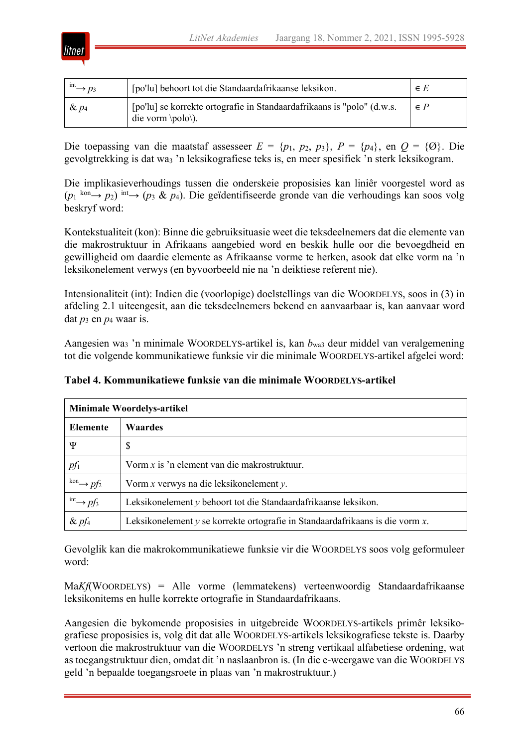

| $\lim_{\longrightarrow} p_3$ | [po'lu] behoort tot die Standaardafrikaanse leksikon.                                                    | $\in E$ |
|------------------------------|----------------------------------------------------------------------------------------------------------|---------|
| $\& p_4$                     | [po'lu] se korrekte ortografie in Standaardafrikaans is "polo" (d.w.s.<br>die vorm $\pmb{\text{polo}}$ . | $\in P$ |

Die toepassing van die maatstaf assesseer  $E = \{p_1, p_2, p_3\}, P = \{p_4\}, \text{ en } Q = \{0\}.$  Die gevolgtrekking is dat wa<sub>3</sub> 'n leksikografiese teks is, en meer spesifiek 'n sterk leksikogram.

Die implikasieverhoudings tussen die onderskeie proposisies kan liniêr voorgestel word as (*p*<sup>1</sup> kon→ *p*2) int→ (*p*<sup>3</sup> & *p*4). Die geïdentifiseerde gronde van die verhoudings kan soos volg beskryf word:

Kontekstualiteit (kon): Binne die gebruiksituasie weet die teksdeelnemers dat die elemente van die makrostruktuur in Afrikaans aangebied word en beskik hulle oor die bevoegdheid en gewilligheid om daardie elemente as Afrikaanse vorme te herken, asook dat elke vorm na 'n leksikonelement verwys (en byvoorbeeld nie na 'n deiktiese referent nie).

Intensionaliteit (int): Indien die (voorlopige) doelstellings van die WOORDELYS, soos in (3) in afdeling 2.1 uiteengesit, aan die teksdeelnemers bekend en aanvaarbaar is, kan aanvaar word dat  $p_3$  en  $p_4$  waar is.

Aangesien wa3 'n minimale WOORDELYS-artikel is, kan *b*wa3 deur middel van veralgemening tot die volgende kommunikatiewe funksie vir die minimale WOORDELYS-artikel afgelei word:

| <b>Minimale Woordelys-artikel</b>             |                                                                                    |  |
|-----------------------------------------------|------------------------------------------------------------------------------------|--|
| Elemente                                      | <b>Waardes</b>                                                                     |  |
| Ψ                                             | \$                                                                                 |  |
| $pf_1$                                        | Vorm $x$ is 'n element van die makrostruktuur.                                     |  |
| $\stackrel{\text{kon}}{\longrightarrow} pf_2$ | Vorm $x$ verwys na die leksikonelement $y$ .                                       |  |
| $\lim_{\longrightarrow}$ pf <sub>3</sub>      | Leksikonelement y behoort tot die Standaardafrikaanse leksikon.                    |  |
| $\&$ pf <sub>4</sub>                          | Leksikonelement $y$ se korrekte ortografie in Standaardafrikaans is die vorm $x$ . |  |

**Tabel 4. Kommunikatiewe funksie van die minimale WOORDELYS-artikel**

Gevolglik kan die makrokommunikatiewe funksie vir die WOORDELYS soos volg geformuleer word:

Ma*Kf*(WOORDELYS) = Alle vorme (lemmatekens) verteenwoordig Standaardafrikaanse leksikonitems en hulle korrekte ortografie in Standaardafrikaans.

Aangesien die bykomende proposisies in uitgebreide WOORDELYS-artikels primêr leksikografiese proposisies is, volg dit dat alle WOORDELYS-artikels leksikografiese tekste is. Daarby vertoon die makrostruktuur van die WOORDELYS 'n streng vertikaal alfabetiese ordening, wat as toegangstruktuur dien, omdat dit 'n naslaanbron is. (In die e-weergawe van die WOORDELYS geld 'n bepaalde toegangsroete in plaas van 'n makrostruktuur.)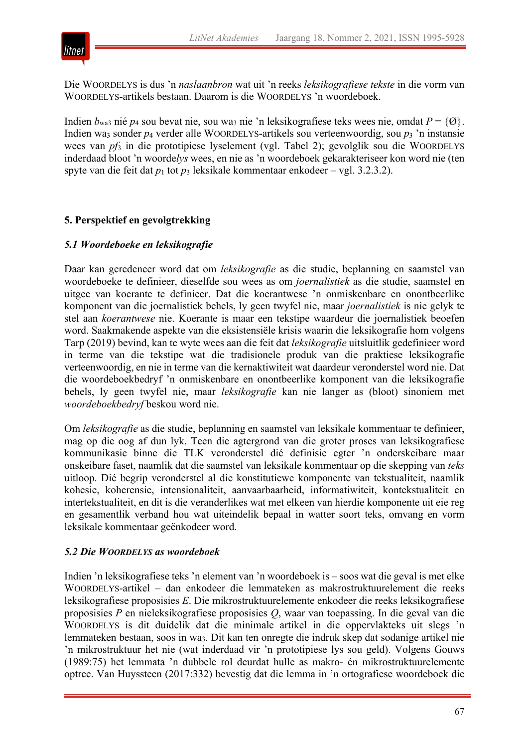

Die WOORDELYS is dus 'n *naslaanbron* wat uit 'n reeks *leksikografiese tekste* in die vorm van WOORDELYS-artikels bestaan. Daarom is die WOORDELYS 'n woordeboek.

Indien  $b_{\text{wa3}}$  nié  $p_4$  sou bevat nie, sou wa<sub>3</sub> nie 'n leksikografiese teks wees nie, omdat  $P = \{0\}$ . Indien wa3 sonder *p*<sup>4</sup> verder alle WOORDELYS-artikels sou verteenwoordig, sou *p*<sup>3</sup> 'n instansie wees van *pf*<sub>3</sub> in die prototipiese lyselement (vgl. Tabel 2); gevolglik sou die WOORDELYS inderdaad bloot 'n woorde*lys* wees, en nie as 'n woordeboek gekarakteriseer kon word nie (ten spyte van die feit dat *p*<sup>1</sup> tot *p*<sup>3</sup> leksikale kommentaar enkodeer – vgl. 3.2.3.2).

# **5. Perspektief en gevolgtrekking**

# *5.1 Woordeboeke en leksikografie*

Daar kan geredeneer word dat om *leksikografie* as die studie, beplanning en saamstel van woordeboeke te definieer, dieselfde sou wees as om *joernalistiek* as die studie, saamstel en uitgee van koerante te definieer. Dat die koerantwese 'n onmiskenbare en onontbeerlike komponent van die joernalistiek behels, ly geen twyfel nie, maar *joernalistiek* is nie gelyk te stel aan *koerantwese* nie. Koerante is maar een tekstipe waardeur die joernalistiek beoefen word. Saakmakende aspekte van die eksistensiële krisis waarin die leksikografie hom volgens Tarp (2019) bevind, kan te wyte wees aan die feit dat *leksikografie* uitsluitlik gedefinieer word in terme van die tekstipe wat die tradisionele produk van die praktiese leksikografie verteenwoordig, en nie in terme van die kernaktiwiteit wat daardeur veronderstel word nie. Dat die woordeboekbedryf 'n onmiskenbare en onontbeerlike komponent van die leksikografie behels, ly geen twyfel nie, maar *leksikografie* kan nie langer as (bloot) sinoniem met *woordeboekbedryf* beskou word nie.

Om *leksikografie* as die studie, beplanning en saamstel van leksikale kommentaar te definieer, mag op die oog af dun lyk. Teen die agtergrond van die groter proses van leksikografiese kommunikasie binne die TLK veronderstel dié definisie egter 'n onderskeibare maar onskeibare faset, naamlik dat die saamstel van leksikale kommentaar op die skepping van *teks* uitloop. Dié begrip veronderstel al die konstitutiewe komponente van tekstualiteit, naamlik kohesie, koherensie, intensionaliteit, aanvaarbaarheid, informatiwiteit, kontekstualiteit en intertekstualiteit, en dit is die veranderlikes wat met elkeen van hierdie komponente uit eie reg en gesamentlik verband hou wat uiteindelik bepaal in watter soort teks, omvang en vorm leksikale kommentaar geënkodeer word.

#### *5.2 Die WOORDELYS as woordeboek*

Indien 'n leksikografiese teks 'n element van 'n woordeboek is – soos wat die geval is met elke WOORDELYS-artikel – dan enkodeer die lemmateken as makrostruktuurelement die reeks leksikografiese proposisies *E*. Die mikrostruktuurelemente enkodeer die reeks leksikografiese proposisies *P* en nieleksikografiese proposisies *Q*, waar van toepassing. In die geval van die WOORDELYS is dit duidelik dat die minimale artikel in die oppervlakteks uit slegs 'n lemmateken bestaan, soos in wa3. Dit kan ten onregte die indruk skep dat sodanige artikel nie 'n mikrostruktuur het nie (wat inderdaad vir 'n prototipiese lys sou geld). Volgens Gouws (1989:75) het lemmata 'n dubbele rol deurdat hulle as makro- én mikrostruktuurelemente optree. Van Huyssteen (2017:332) bevestig dat die lemma in 'n ortografiese woordeboek die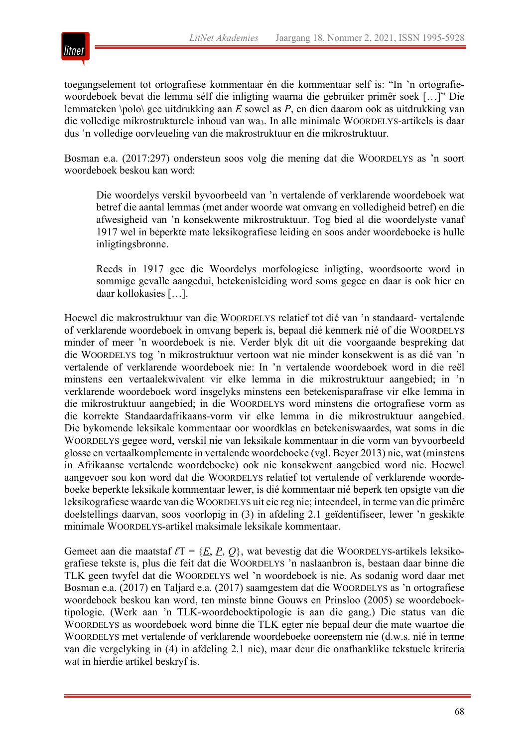

toegangselement tot ortografiese kommentaar én die kommentaar self is: "In 'n ortografiewoordeboek bevat die lemma sélf die inligting waarna die gebruiker primêr soek […]" Die lemmateken \polo\ gee uitdrukking aan *E* sowel as *P*, en dien daarom ook as uitdrukking van die volledige mikrostrukturele inhoud van wa3. In alle minimale WOORDELYS-artikels is daar dus 'n volledige oorvleueling van die makrostruktuur en die mikrostruktuur.

Bosman e.a. (2017:297) ondersteun soos volg die mening dat die WOORDELYS as 'n soort woordeboek beskou kan word:

Die woordelys verskil byvoorbeeld van 'n vertalende of verklarende woordeboek wat betref die aantal lemmas (met ander woorde wat omvang en volledigheid betref) en die afwesigheid van 'n konsekwente mikrostruktuur. Tog bied al die woordelyste vanaf 1917 wel in beperkte mate leksikografiese leiding en soos ander woordeboeke is hulle inligtingsbronne.

Reeds in 1917 gee die Woordelys morfologiese inligting, woordsoorte word in sommige gevalle aangedui, betekenisleiding word soms gegee en daar is ook hier en daar kollokasies […].

Hoewel die makrostruktuur van die WOORDELYS relatief tot dié van 'n standaard- vertalende of verklarende woordeboek in omvang beperk is, bepaal dié kenmerk nié of die WOORDELYS minder of meer 'n woordeboek is nie. Verder blyk dit uit die voorgaande bespreking dat die WOORDELYS tog 'n mikrostruktuur vertoon wat nie minder konsekwent is as dié van 'n vertalende of verklarende woordeboek nie: In 'n vertalende woordeboek word in die reël minstens een vertaalekwivalent vir elke lemma in die mikrostruktuur aangebied; in 'n verklarende woordeboek word insgelyks minstens een betekenisparafrase vir elke lemma in die mikrostruktuur aangebied; in die WOORDELYS word minstens die ortografiese vorm as die korrekte Standaardafrikaans-vorm vir elke lemma in die mikrostruktuur aangebied. Die bykomende leksikale kommentaar oor woordklas en betekeniswaardes, wat soms in die WOORDELYS gegee word, verskil nie van leksikale kommentaar in die vorm van byvoorbeeld glosse en vertaalkomplemente in vertalende woordeboeke (vgl. Beyer 2013) nie, wat (minstens in Afrikaanse vertalende woordeboeke) ook nie konsekwent aangebied word nie. Hoewel aangevoer sou kon word dat die WOORDELYS relatief tot vertalende of verklarende woordeboeke beperkte leksikale kommentaar lewer, is dié kommentaar nié beperk ten opsigte van die leksikografiese waarde van die WOORDELYS uit eie reg nie; inteendeel, in terme van die primêre doelstellings daarvan, soos voorlopig in (3) in afdeling 2.1 geïdentifiseer, lewer 'n geskikte minimale WOORDELYS-artikel maksimale leksikale kommentaar.

Gemeet aan die maatstaf *ℓ*T = {*E*, *P*, *Q*}, wat bevestig dat die WOORDELYS-artikels leksikografiese tekste is, plus die feit dat die WOORDELYS 'n naslaanbron is, bestaan daar binne die TLK geen twyfel dat die WOORDELYS wel 'n woordeboek is nie. As sodanig word daar met Bosman e.a. (2017) en Taljard e.a. (2017) saamgestem dat die WOORDELYS as 'n ortografiese woordeboek beskou kan word, ten minste binne Gouws en Prinsloo (2005) se woordeboektipologie. (Werk aan 'n TLK-woordeboektipologie is aan die gang.) Die status van die WOORDELYS as woordeboek word binne die TLK egter nie bepaal deur die mate waartoe die WOORDELYS met vertalende of verklarende woordeboeke ooreenstem nie (d.w.s. nié in terme van die vergelyking in (4) in afdeling 2.1 nie), maar deur die onafhanklike tekstuele kriteria wat in hierdie artikel beskryf is.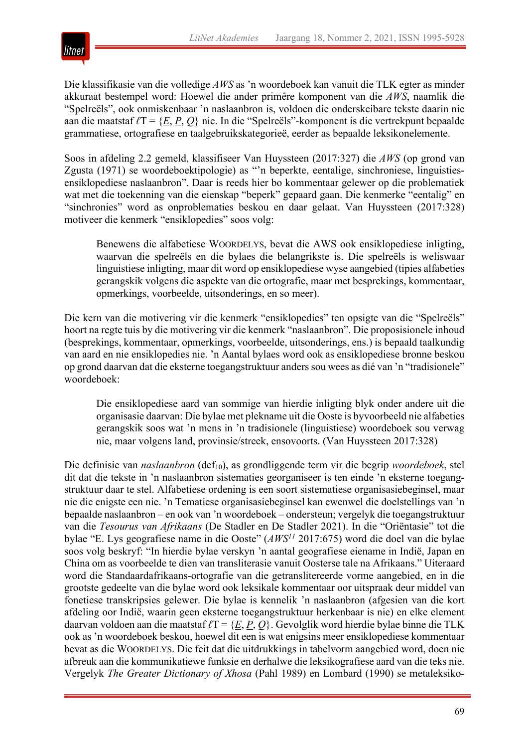

Die klassifikasie van die volledige *AWS* as 'n woordeboek kan vanuit die TLK egter as minder akkuraat bestempel word: Hoewel die ander primêre komponent van die *AWS*, naamlik die "Spelreëls", ook onmiskenbaar 'n naslaanbron is, voldoen die onderskeibare tekste daarin nie aan die maatstaf *ℓ*T = {*E*, *P*, *Q*} nie. In die "Spelreëls"-komponent is die vertrekpunt bepaalde grammatiese, ortografiese en taalgebruikskategorieë, eerder as bepaalde leksikonelemente.

Soos in afdeling 2.2 gemeld, klassifiseer Van Huyssteen (2017:327) die *AWS* (op grond van Zgusta (1971) se woordeboektipologie) as "'n beperkte, eentalige, sinchroniese, linguistiesensiklopediese naslaanbron". Daar is reeds hier bo kommentaar gelewer op die problematiek wat met die toekenning van die eienskap "beperk" gepaard gaan. Die kenmerke "eentalig" en "sinchronies" word as onproblematies beskou en daar gelaat. Van Huyssteen (2017:328) motiveer die kenmerk "ensiklopedies" soos volg:

Benewens die alfabetiese WOORDELYS, bevat die AWS ook ensiklopediese inligting, waarvan die spelreëls en die bylaes die belangrikste is. Die spelreëls is weliswaar linguistiese inligting, maar dit word op ensiklopediese wyse aangebied (tipies alfabeties gerangskik volgens die aspekte van die ortografie, maar met besprekings, kommentaar, opmerkings, voorbeelde, uitsonderings, en so meer).

Die kern van die motivering vir die kenmerk "ensiklopedies" ten opsigte van die "Spelreëls" hoort na regte tuis by die motivering vir die kenmerk "naslaanbron". Die proposisionele inhoud (besprekings, kommentaar, opmerkings, voorbeelde, uitsonderings, ens.) is bepaald taalkundig van aard en nie ensiklopedies nie. 'n Aantal bylaes word ook as ensiklopediese bronne beskou op grond daarvan dat die eksterne toegangstruktuur anders sou wees as dié van 'n "tradisionele" woordeboek:

Die ensiklopediese aard van sommige van hierdie inligting blyk onder andere uit die organisasie daarvan: Die bylae met plekname uit die Ooste is byvoorbeeld nie alfabeties gerangskik soos wat 'n mens in 'n tradisionele (linguistiese) woordeboek sou verwag nie, maar volgens land, provinsie/streek, ensovoorts. (Van Huyssteen 2017:328)

Die definisie van *naslaanbron* (def<sub>10</sub>), as grondliggende term vir die begrip *woordeboek*, stel dit dat die tekste in 'n naslaanbron sistematies georganiseer is ten einde 'n eksterne toegangstruktuur daar te stel. Alfabetiese ordening is een soort sistematiese organisasiebeginsel, maar nie die enigste een nie. 'n Tematiese organisasiebeginsel kan ewenwel die doelstellings van 'n bepaalde naslaanbron – en ook van 'n woordeboek – ondersteun; vergelyk die toegangstruktuur van die *Tesourus van Afrikaans* (De Stadler en De Stadler 2021). In die "Oriëntasie" tot die bylae "E. Lys geografiese name in die Ooste" (*AWS11* 2017:675) word die doel van die bylae soos volg beskryf: "In hierdie bylae verskyn 'n aantal geografiese eiename in Indië, Japan en China om as voorbeelde te dien van transliterasie vanuit Oosterse tale na Afrikaans." Uiteraard word die Standaardafrikaans-ortografie van die getranslitereerde vorme aangebied, en in die grootste gedeelte van die bylae word ook leksikale kommentaar oor uitspraak deur middel van fonetiese transkripsies gelewer. Die bylae is kennelik 'n naslaanbron (afgesien van die kort afdeling oor Indië, waarin geen eksterne toegangstruktuur herkenbaar is nie) en elke element daarvan voldoen aan die maatstaf *ℓ*T = {*E*, *P*, *Q*}. Gevolglik word hierdie bylae binne die TLK ook as 'n woordeboek beskou, hoewel dit een is wat enigsins meer ensiklopediese kommentaar bevat as die WOORDELYS. Die feit dat die uitdrukkings in tabelvorm aangebied word, doen nie afbreuk aan die kommunikatiewe funksie en derhalwe die leksikografiese aard van die teks nie. Vergelyk *The Greater Dictionary of Xhosa* (Pahl 1989) en Lombard (1990) se metaleksiko-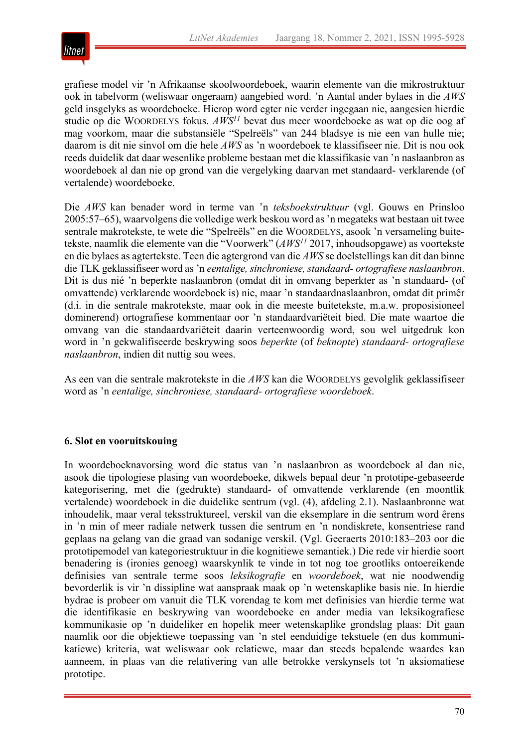

grafiese model vir 'n Afrikaanse skoolwoordeboek, waarin elemente van die mikrostruktuur ook in tabelvorm (weliswaar ongeraam) aangebied word. 'n Aantal ander bylaes in die *AWS* geld insgelyks as woordeboeke. Hierop word egter nie verder ingegaan nie, aangesien hierdie studie op die WOORDELYS fokus. *AWS11* bevat dus meer woordeboeke as wat op die oog af mag voorkom, maar die substansiële "Spelreëls" van 244 bladsye is nie een van hulle nie; daarom is dit nie sinvol om die hele *AWS* as 'n woordeboek te klassifiseer nie. Dit is nou ook reeds duidelik dat daar wesenlike probleme bestaan met die klassifikasie van 'n naslaanbron as woordeboek al dan nie op grond van die vergelyking daarvan met standaard- verklarende (of vertalende) woordeboeke.

Die *AWS* kan benader word in terme van 'n *teksboekstruktuur* (vgl. Gouws en Prinsloo 2005:57–65), waarvolgens die volledige werk beskou word as 'n megateks wat bestaan uit twee sentrale makrotekste, te wete die "Spelreëls" en die WOORDELYS, asook 'n versameling buitetekste, naamlik die elemente van die "Voorwerk" (*AWS11* 2017, inhoudsopgawe) as voortekste en die bylaes as agtertekste. Teen die agtergrond van die *AWS* se doelstellings kan dit dan binne die TLK geklassifiseer word as 'n *eentalige, sinchroniese, standaard- ortografiese naslaanbron*. Dit is dus nié 'n beperkte naslaanbron (omdat dit in omvang beperkter as 'n standaard- (of omvattende) verklarende woordeboek is) nie, maar 'n standaardnaslaanbron, omdat dit primêr (d.i. in die sentrale makrotekste, maar ook in die meeste buitetekste, m.a.w. proposisioneel dominerend) ortografiese kommentaar oor 'n standaardvariëteit bied. Die mate waartoe die omvang van die standaardvariëteit daarin verteenwoordig word, sou wel uitgedruk kon word in 'n gekwalifiseerde beskrywing soos *beperkte* (of *beknopte*) *standaard- ortografiese naslaanbron*, indien dit nuttig sou wees.

As een van die sentrale makrotekste in die *AWS* kan die WOORDELYS gevolglik geklassifiseer word as 'n *eentalige, sinchroniese, standaard- ortografiese woordeboek*.

# **6. Slot en vooruitskouing**

In woordeboeknavorsing word die status van 'n naslaanbron as woordeboek al dan nie, asook die tipologiese plasing van woordeboeke, dikwels bepaal deur 'n prototipe-gebaseerde kategorisering, met die (gedrukte) standaard- of omvattende verklarende (en moontlik vertalende) woordeboek in die duidelike sentrum (vgl. (4), afdeling 2.1). Naslaanbronne wat inhoudelik, maar veral teksstruktureel, verskil van die eksemplare in die sentrum word êrens in 'n min of meer radiale netwerk tussen die sentrum en 'n nondiskrete, konsentriese rand geplaas na gelang van die graad van sodanige verskil. (Vgl. Geeraerts 2010:183–203 oor die prototipemodel van kategoriestruktuur in die kognitiewe semantiek.) Die rede vir hierdie soort benadering is (ironies genoeg) waarskynlik te vinde in tot nog toe grootliks ontoereikende definisies van sentrale terme soos *leksikografie* en *woordeboek*, wat nie noodwendig bevorderlik is vir 'n dissipline wat aanspraak maak op 'n wetenskaplike basis nie. In hierdie bydrae is probeer om vanuit die TLK vorendag te kom met definisies van hierdie terme wat die identifikasie en beskrywing van woordeboeke en ander media van leksikografiese kommunikasie op 'n duideliker en hopelik meer wetenskaplike grondslag plaas: Dit gaan naamlik oor die objektiewe toepassing van 'n stel eenduidige tekstuele (en dus kommunikatiewe) kriteria, wat weliswaar ook relatiewe, maar dan steeds bepalende waardes kan aanneem, in plaas van die relativering van alle betrokke verskynsels tot 'n aksiomatiese prototipe.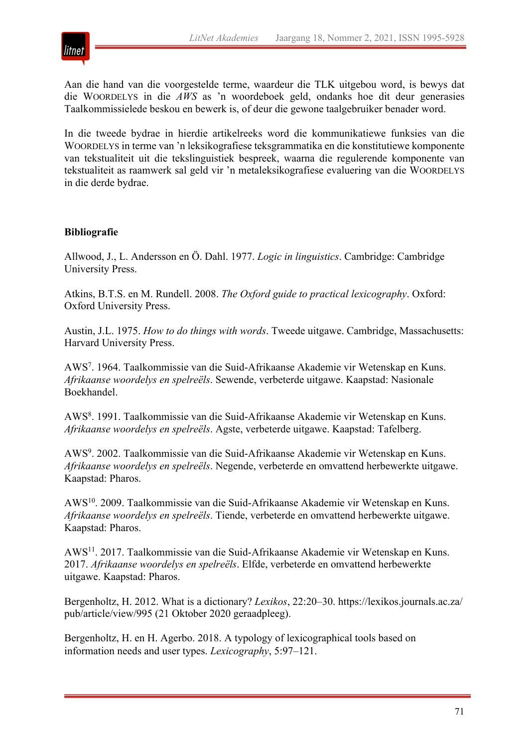

Aan die hand van die voorgestelde terme, waardeur die TLK uitgebou word, is bewys dat die WOORDELYS in die *AWS* as 'n woordeboek geld, ondanks hoe dit deur generasies Taalkommissielede beskou en bewerk is, of deur die gewone taalgebruiker benader word.

In die tweede bydrae in hierdie artikelreeks word die kommunikatiewe funksies van die WOORDELYS in terme van 'n leksikografiese teksgrammatika en die konstitutiewe komponente van tekstualiteit uit die tekslinguistiek bespreek, waarna die regulerende komponente van tekstualiteit as raamwerk sal geld vir 'n metaleksikografiese evaluering van die WOORDELYS in die derde bydrae.

# **Bibliografie**

Allwood, J., L. Andersson en Ö. Dahl. 1977. *Logic in linguistics*. Cambridge: Cambridge University Press.

Atkins, B.T.S. en M. Rundell. 2008. *The Oxford guide to practical lexicography*. Oxford: Oxford University Press.

Austin, J.L. 1975. *How to do things with words*. Tweede uitgawe. Cambridge, Massachusetts: Harvard University Press.

AWS7 . 1964. Taalkommissie van die Suid-Afrikaanse Akademie vir Wetenskap en Kuns. *Afrikaanse woordelys en spelreëls*. Sewende, verbeterde uitgawe. Kaapstad: Nasionale Boekhandel.

AWS8 . 1991. Taalkommissie van die Suid-Afrikaanse Akademie vir Wetenskap en Kuns. *Afrikaanse woordelys en spelreëls*. Agste, verbeterde uitgawe. Kaapstad: Tafelberg.

AWS9 . 2002. Taalkommissie van die Suid-Afrikaanse Akademie vir Wetenskap en Kuns. *Afrikaanse woordelys en spelreëls*. Negende, verbeterde en omvattend herbewerkte uitgawe. Kaapstad: Pharos.

AWS10. 2009. Taalkommissie van die Suid-Afrikaanse Akademie vir Wetenskap en Kuns. *Afrikaanse woordelys en spelreëls*. Tiende, verbeterde en omvattend herbewerkte uitgawe. Kaapstad: Pharos.

AWS11. 2017. Taalkommissie van die Suid-Afrikaanse Akademie vir Wetenskap en Kuns. 2017. *Afrikaanse woordelys en spelreëls*. Elfde, verbeterde en omvattend herbewerkte uitgawe. Kaapstad: Pharos.

Bergenholtz, H. 2012. What is a dictionary? *Lexikos*, 22:20–30. https://lexikos.journals.ac.za/ pub/article/view/995 (21 Oktober 2020 geraadpleeg).

Bergenholtz, H. en H. Agerbo. 2018. A typology of lexicographical tools based on information needs and user types. *Lexicography*, 5:97–121.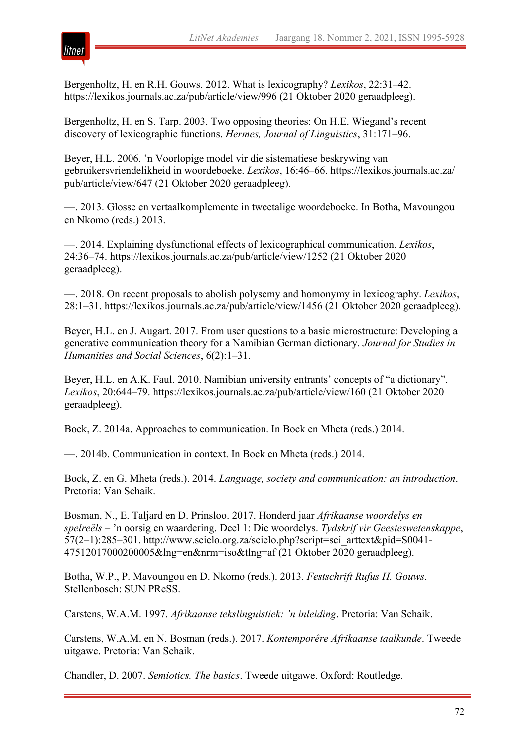

Bergenholtz, H. en R.H. Gouws. 2012. What is lexicography? *Lexikos*, 22:31–42. https://lexikos.journals.ac.za/pub/article/view/996 (21 Oktober 2020 geraadpleeg).

Bergenholtz, H. en S. Tarp. 2003. Two opposing theories: On H.E. Wiegand's recent discovery of lexicographic functions. *Hermes, Journal of Linguistics*, 31:171–96.

Beyer, H.L. 2006. 'n Voorlopige model vir die sistematiese beskrywing van gebruikersvriendelikheid in woordeboeke. *Lexikos*, 16:46–66. https://lexikos.journals.ac.za/ pub/article/view/647 (21 Oktober 2020 geraadpleeg).

—. 2013. Glosse en vertaalkomplemente in tweetalige woordeboeke. In Botha, Mavoungou en Nkomo (reds.) 2013.

—. 2014. Explaining dysfunctional effects of lexicographical communication. *Lexikos*, 24:36–74. https://lexikos.journals.ac.za/pub/article/view/1252 (21 Oktober 2020 geraadpleeg).

—. 2018. On recent proposals to abolish polysemy and homonymy in lexicography. *Lexikos*, 28:1–31. https://lexikos.journals.ac.za/pub/article/view/1456 (21 Oktober 2020 geraadpleeg).

Beyer, H.L. en J. Augart. 2017. From user questions to a basic microstructure: Developing a generative communication theory for a Namibian German dictionary. *Journal for Studies in Humanities and Social Sciences*, 6(2):1–31.

Beyer, H.L. en A.K. Faul. 2010. Namibian university entrants' concepts of "a dictionary". *Lexikos*, 20:644–79. https://lexikos.journals.ac.za/pub/article/view/160 (21 Oktober 2020 geraadpleeg).

Bock, Z. 2014a. Approaches to communication. In Bock en Mheta (reds.) 2014.

—. 2014b. Communication in context. In Bock en Mheta (reds.) 2014.

Bock, Z. en G. Mheta (reds.). 2014. *Language, society and communication: an introduction*. Pretoria: Van Schaik.

Bosman, N., E. Taljard en D. Prinsloo. 2017. Honderd jaar *Afrikaanse woordelys en spelreëls* – 'n oorsig en waardering. Deel 1: Die woordelys. *Tydskrif vir Geesteswetenskappe*, 57(2–1):285–301. http://www.scielo.org.za/scielo.php?script=sci\_arttext&pid=S0041- 47512017000200005&lng=en&nrm=iso&tlng=af (21 Oktober 2020 geraadpleeg).

Botha, W.P., P. Mavoungou en D. Nkomo (reds.). 2013. *Festschrift Rufus H. Gouws*. Stellenbosch: SUN PReSS.

Carstens, W.A.M. 1997. *Afrikaanse tekslinguistiek: 'n inleiding*. Pretoria: Van Schaik.

Carstens, W.A.M. en N. Bosman (reds.). 2017. *Kontemporêre Afrikaanse taalkunde*. Tweede uitgawe. Pretoria: Van Schaik.

Chandler, D. 2007. *Semiotics. The basics*. Tweede uitgawe. Oxford: Routledge.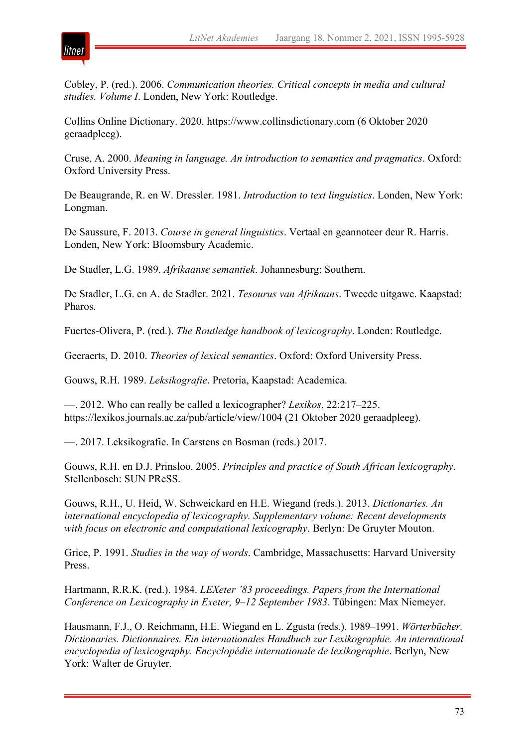

Cobley, P. (red.). 2006. *Communication theories. Critical concepts in media and cultural studies. Volume I*. Londen, New York: Routledge.

Collins Online Dictionary. 2020. https://www.collinsdictionary.com (6 Oktober 2020 geraadpleeg).

Cruse, A. 2000. *Meaning in language. An introduction to semantics and pragmatics*. Oxford: Oxford University Press.

De Beaugrande, R. en W. Dressler. 1981. *Introduction to text linguistics*. Londen, New York: Longman.

De Saussure, F. 2013. *Course in general linguistics*. Vertaal en geannoteer deur R. Harris. Londen, New York: Bloomsbury Academic.

De Stadler, L.G. 1989. *Afrikaanse semantiek*. Johannesburg: Southern.

De Stadler, L.G. en A. de Stadler. 2021. *Tesourus van Afrikaans*. Tweede uitgawe. Kaapstad: Pharos.

Fuertes-Olivera, P. (red.). *The Routledge handbook of lexicography*. Londen: Routledge.

Geeraerts, D. 2010. *Theories of lexical semantics*. Oxford: Oxford University Press.

Gouws, R.H. 1989. *Leksikografie*. Pretoria, Kaapstad: Academica.

—. 2012. Who can really be called a lexicographer? *Lexikos*, 22:217–225. https://lexikos.journals.ac.za/pub/article/view/1004 (21 Oktober 2020 geraadpleeg).

—. 2017. Leksikografie. In Carstens en Bosman (reds.) 2017.

Gouws, R.H. en D.J. Prinsloo. 2005. *Principles and practice of South African lexicography*. Stellenbosch: SUN PReSS.

Gouws, R.H., U. Heid, W. Schweickard en H.E. Wiegand (reds.). 2013. *Dictionaries. An international encyclopedia of lexicography. Supplementary volume: Recent developments with focus on electronic and computational lexicography*. Berlyn: De Gruyter Mouton.

Grice, P. 1991. *Studies in the way of words*. Cambridge, Massachusetts: Harvard University Press.

Hartmann, R.R.K. (red.). 1984. *LEXeter '83 proceedings. Papers from the International Conference on Lexicography in Exeter, 9–12 September 1983*. Tübingen: Max Niemeyer.

Hausmann, F.J., O. Reichmann, H.E. Wiegand en L. Zgusta (reds.). 1989–1991. *Wörterbücher. Dictionaries. Dictionnaires. Ein internationales Handbuch zur Lexikographie. An international encyclopedia of lexicography. Encyclopédie internationale de lexikographie*. Berlyn, New York: Walter de Gruyter.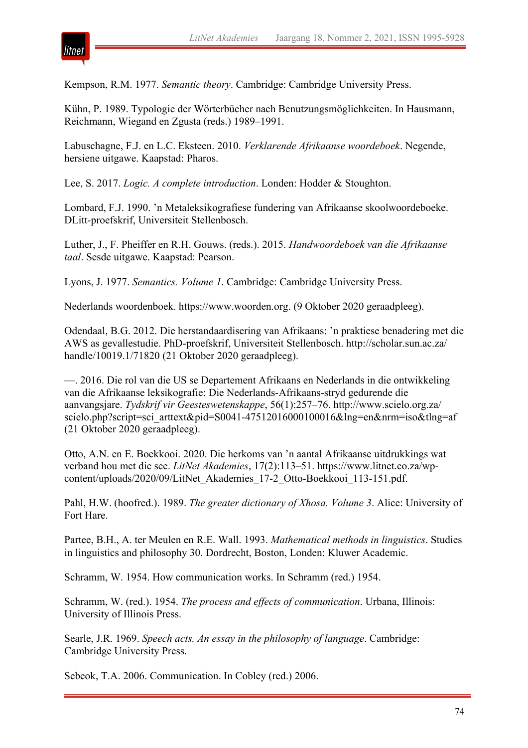

Kempson, R.M. 1977. *Semantic theory*. Cambridge: Cambridge University Press.

Kühn, P. 1989. Typologie der Wörterbücher nach Benutzungsmöglichkeiten. In Hausmann, Reichmann, Wiegand en Zgusta (reds.) 1989–1991.

Labuschagne, F.J. en L.C. Eksteen. 2010. *Verklarende Afrikaanse woordeboek*. Negende, hersiene uitgawe. Kaapstad: Pharos.

Lee, S. 2017. *Logic. A complete introduction*. Londen: Hodder & Stoughton.

Lombard, F.J. 1990. 'n Metaleksikografiese fundering van Afrikaanse skoolwoordeboeke. DLitt-proefskrif, Universiteit Stellenbosch.

Luther, J., F. Pheiffer en R.H. Gouws. (reds.). 2015. *Handwoordeboek van die Afrikaanse taal*. Sesde uitgawe. Kaapstad: Pearson.

Lyons, J. 1977. *Semantics. Volume 1*. Cambridge: Cambridge University Press.

Nederlands woordenboek. https://www.woorden.org. (9 Oktober 2020 geraadpleeg).

Odendaal, B.G. 2012. Die herstandaardisering van Afrikaans: 'n praktiese benadering met die AWS as gevallestudie. PhD-proefskrif, Universiteit Stellenbosch. http://scholar.sun.ac.za/ handle/10019.1/71820 (21 Oktober 2020 geraadpleeg).

—. 2016. Die rol van die US se Departement Afrikaans en Nederlands in die ontwikkeling van die Afrikaanse leksikografie: Die Nederlands-Afrikaans-stryd gedurende die aanvangsjare. *Tydskrif vir Geesteswetenskappe*, 56(1):257–76. http://www.scielo.org.za/ scielo.php?script=sci\_arttext&pid=S0041-47512016000100016&lng=en&nrm=iso&tlng=af (21 Oktober 2020 geraadpleeg).

Otto, A.N. en E. Boekkooi. 2020. Die herkoms van 'n aantal Afrikaanse uitdrukkings wat verband hou met die see. *LitNet Akademies*, 17(2):113–51. https://www.litnet.co.za/wpcontent/uploads/2020/09/LitNet\_Akademies\_17-2\_Otto-Boekkooi\_113-151.pdf.

Pahl, H.W. (hoofred.). 1989. *The greater dictionary of Xhosa. Volume 3*. Alice: University of Fort Hare.

Partee, B.H., A. ter Meulen en R.E. Wall. 1993. *Mathematical methods in linguistics*. Studies in linguistics and philosophy 30. Dordrecht, Boston, Londen: Kluwer Academic.

Schramm, W. 1954. How communication works. In Schramm (red.) 1954.

Schramm, W. (red.). 1954. *The process and effects of communication*. Urbana, Illinois: University of Illinois Press.

Searle, J.R. 1969. *Speech acts. An essay in the philosophy of language*. Cambridge: Cambridge University Press.

Sebeok, T.A. 2006. Communication. In Cobley (red.) 2006.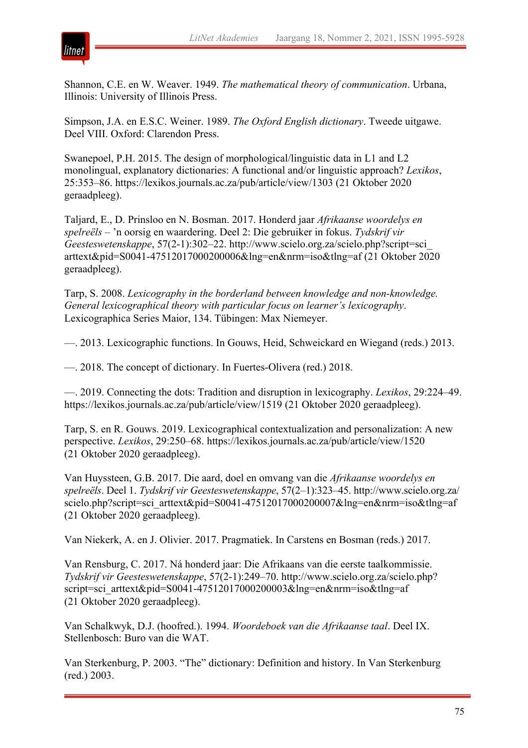

Shannon, C.E. en W. Weaver. 1949. *The mathematical theory of communication*. Urbana, Illinois: University of Illinois Press.

Simpson, J.A. en E.S.C. Weiner. 1989. *The Oxford English dictionary*. Tweede uitgawe. Deel VIII. Oxford: Clarendon Press.

Swanepoel, P.H. 2015. The design of morphological/linguistic data in L1 and L2 monolingual, explanatory dictionaries: A functional and/or linguistic approach? *Lexikos*, 25:353–86. https://lexikos.journals.ac.za/pub/article/view/1303 (21 Oktober 2020 geraadpleeg).

Taljard, E., D. Prinsloo en N. Bosman. 2017. Honderd jaar *Afrikaanse woordelys en spelreëls* – 'n oorsig en waardering. Deel 2: Die gebruiker in fokus. *Tydskrif vir Geesteswetenskappe*, 57(2-1):302–22. http://www.scielo.org.za/scielo.php?script=sci\_ arttext&pid=S0041-47512017000200006&lng=en&nrm=iso&tlng=af (21 Oktober 2020 geraadpleeg).

Tarp, S. 2008. *Lexicography in the borderland between knowledge and non-knowledge. General lexicographical theory with particular focus on learner's lexicography*. Lexicographica Series Maior, 134. Tübingen: Max Niemeyer.

—. 2013. Lexicographic functions. In Gouws, Heid, Schweickard en Wiegand (reds.) 2013.

—. 2018. The concept of dictionary. In Fuertes-Olivera (red.) 2018.

—. 2019. Connecting the dots: Tradition and disruption in lexicography. *Lexikos*, 29:224–49. https://lexikos.journals.ac.za/pub/article/view/1519 (21 Oktober 2020 geraadpleeg).

Tarp, S. en R. Gouws. 2019. Lexicographical contextualization and personalization: A new perspective. *Lexikos*, 29:250–68. https://lexikos.journals.ac.za/pub/article/view/1520 (21 Oktober 2020 geraadpleeg).

Van Huyssteen, G.B. 2017. Die aard, doel en omvang van die *Afrikaanse woordelys en spelreëls*. Deel 1. *Tydskrif vir Geesteswetenskappe*, 57(2–1):323–45. http://www.scielo.org.za/ scielo.php?script=sci\_arttext&pid=S0041-47512017000200007&lng=en&nrm=iso&tlng=af (21 Oktober 2020 geraadpleeg).

Van Niekerk, A. en J. Olivier. 2017. Pragmatiek. In Carstens en Bosman (reds.) 2017.

Van Rensburg, C. 2017. Ná honderd jaar: Die Afrikaans van die eerste taalkommissie. *Tydskrif vir Geesteswetenskappe*, 57(2-1):249–70. http://www.scielo.org.za/scielo.php? script=sci\_arttext&pid=S0041-47512017000200003&lng=en&nrm=iso&tlng=af (21 Oktober 2020 geraadpleeg).

Van Schalkwyk, D.J. (hoofred.). 1994. *Woordeboek van die Afrikaanse taal*. Deel IX. Stellenbosch: Buro van die WAT.

Van Sterkenburg, P. 2003. "The" dictionary: Definition and history. In Van Sterkenburg (red.) 2003.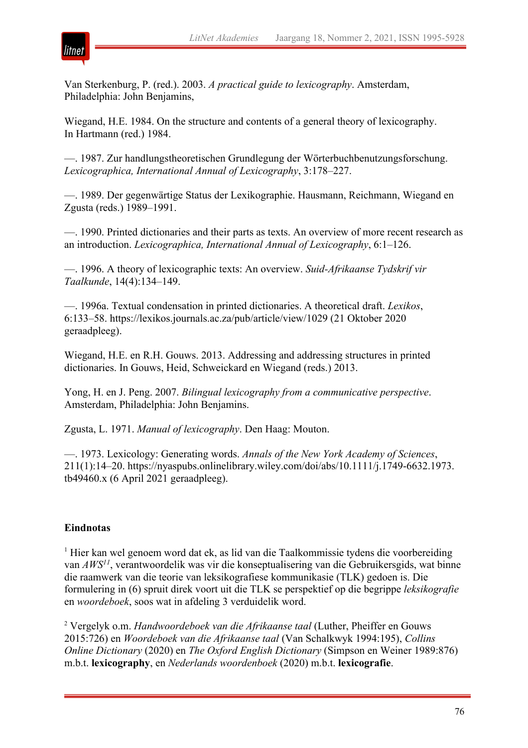

Van Sterkenburg, P. (red.). 2003. *A practical guide to lexicography*. Amsterdam, Philadelphia: John Benjamins,

Wiegand, H.E. 1984. On the structure and contents of a general theory of lexicography. In Hartmann (red.) 1984.

—. 1987. Zur handlungstheoretischen Grundlegung der Wörterbuchbenutzungsforschung. *Lexicographica, International Annual of Lexicography*, 3:178–227.

—. 1989. Der gegenwärtige Status der Lexikographie. Hausmann, Reichmann, Wiegand en Zgusta (reds.) 1989–1991.

—. 1990. Printed dictionaries and their parts as texts. An overview of more recent research as an introduction. *Lexicographica, International Annual of Lexicography*, 6:1–126.

—. 1996. A theory of lexicographic texts: An overview. *Suid-Afrikaanse Tydskrif vir Taalkunde*, 14(4):134–149.

—. 1996a. Textual condensation in printed dictionaries. A theoretical draft. *Lexikos*, 6:133–58. https://lexikos.journals.ac.za/pub/article/view/1029 (21 Oktober 2020 geraadpleeg).

Wiegand, H.E. en R.H. Gouws. 2013. Addressing and addressing structures in printed dictionaries. In Gouws, Heid, Schweickard en Wiegand (reds.) 2013.

Yong, H. en J. Peng. 2007. *Bilingual lexicography from a communicative perspective*. Amsterdam, Philadelphia: John Benjamins.

Zgusta, L. 1971. *Manual of lexicography*. Den Haag: Mouton.

—. 1973. Lexicology: Generating words. *Annals of the New York Academy of Sciences*, 211(1):14–20. https://nyaspubs.onlinelibrary.wiley.com/doi/abs/10.1111/j.1749-6632.1973. tb49460.x (6 April 2021 geraadpleeg).

# **Eindnotas**

<sup>1</sup> Hier kan wel genoem word dat ek, as lid van die Taalkommissie tydens die voorbereiding van *AWS11*, verantwoordelik was vir die konseptualisering van die Gebruikersgids, wat binne die raamwerk van die teorie van leksikografiese kommunikasie (TLK) gedoen is. Die formulering in (6) spruit direk voort uit die TLK se perspektief op die begrippe *leksikografie* en *woordeboek*, soos wat in afdeling 3 verduidelik word.

<sup>2</sup> Vergelyk o.m. *Handwoordeboek van die Afrikaanse taal* (Luther, Pheiffer en Gouws 2015:726) en *Woordeboek van die Afrikaanse taal* (Van Schalkwyk 1994:195), *Collins Online Dictionary* (2020) en *The Oxford English Dictionary* (Simpson en Weiner 1989:876) m.b.t. **lexicography**, en *Nederlands woordenboek* (2020) m.b.t. **lexicografie**.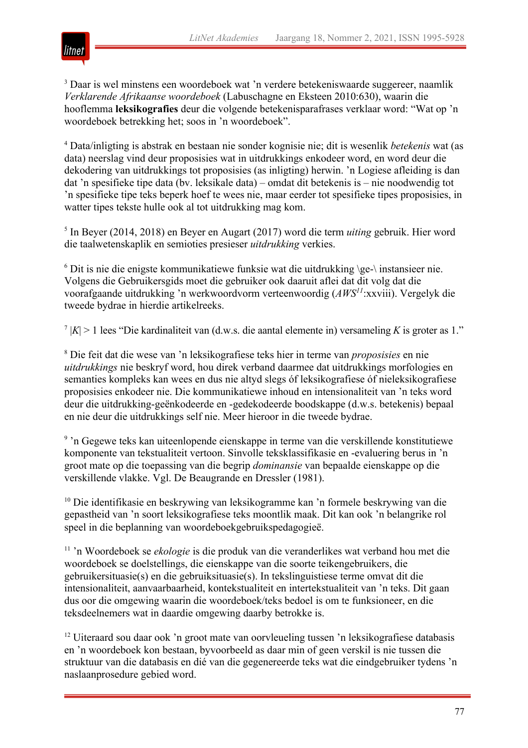

<sup>3</sup> Daar is wel minstens een woordeboek wat 'n verdere betekeniswaarde suggereer, naamlik *Verklarende Afrikaanse woordeboek* (Labuschagne en Eksteen 2010:630), waarin die hooflemma **leksikografies** deur die volgende betekenisparafrases verklaar word: "Wat op 'n woordeboek betrekking het; soos in 'n woordeboek".

<sup>4</sup> Data/inligting is abstrak en bestaan nie sonder kognisie nie; dit is wesenlik *betekenis* wat (as data) neerslag vind deur proposisies wat in uitdrukkings enkodeer word, en word deur die dekodering van uitdrukkings tot proposisies (as inligting) herwin. 'n Logiese afleiding is dan dat 'n spesifieke tipe data (bv. leksikale data) – omdat dit betekenis is – nie noodwendig tot 'n spesifieke tipe teks beperk hoef te wees nie, maar eerder tot spesifieke tipes proposisies, in watter tipes tekste hulle ook al tot uitdrukking mag kom.

<sup>5</sup> In Beyer (2014, 2018) en Beyer en Augart (2017) word die term *uiting* gebruik. Hier word die taalwetenskaplik en semioties presieser *uitdrukking* verkies.

 $6$  Dit is nie die enigste kommunikatiewe funksie wat die uitdrukking \ge-\ instansieer nie. Volgens die Gebruikersgids moet die gebruiker ook daaruit aflei dat dit volg dat die voorafgaande uitdrukking 'n werkwoordvorm verteenwoordig (*AWS11*:xxviii). Vergelyk die tweede bydrae in hierdie artikelreeks.

<sup>7</sup>  $|K| > 1$  lees "Die kardinaliteit van (d.w.s. die aantal elemente in) versameling *K* is groter as 1."

<sup>8</sup> Die feit dat die wese van 'n leksikografiese teks hier in terme van *proposisies* en nie *uitdrukkings* nie beskryf word, hou direk verband daarmee dat uitdrukkings morfologies en semanties kompleks kan wees en dus nie altyd slegs óf leksikografiese óf nieleksikografiese proposisies enkodeer nie. Die kommunikatiewe inhoud en intensionaliteit van 'n teks word deur die uitdrukking-geënkodeerde en -gedekodeerde boodskappe (d.w.s. betekenis) bepaal en nie deur die uitdrukkings self nie. Meer hieroor in die tweede bydrae.

<sup>9</sup> 'n Gegewe teks kan uiteenlopende eienskappe in terme van die verskillende konstitutiewe komponente van tekstualiteit vertoon. Sinvolle teksklassifikasie en -evaluering berus in 'n groot mate op die toepassing van die begrip *dominansie* van bepaalde eienskappe op die verskillende vlakke. Vgl. De Beaugrande en Dressler (1981).

<sup>10</sup> Die identifikasie en beskrywing van leksikogramme kan 'n formele beskrywing van die gepastheid van 'n soort leksikografiese teks moontlik maak. Dit kan ook 'n belangrike rol speel in die beplanning van woordeboekgebruikspedagogieë.

<sup>11</sup> 'n Woordeboek se *ekologie* is die produk van die veranderlikes wat verband hou met die woordeboek se doelstellings, die eienskappe van die soorte teikengebruikers, die gebruikersituasie(s) en die gebruiksituasie(s). In tekslinguistiese terme omvat dit die intensionaliteit, aanvaarbaarheid, kontekstualiteit en intertekstualiteit van 'n teks. Dit gaan dus oor die omgewing waarin die woordeboek/teks bedoel is om te funksioneer, en die teksdeelnemers wat in daardie omgewing daarby betrokke is.

<sup>12</sup> Uiteraard sou daar ook 'n groot mate van oorvleueling tussen 'n leksikografiese databasis en 'n woordeboek kon bestaan, byvoorbeeld as daar min of geen verskil is nie tussen die struktuur van die databasis en dié van die gegenereerde teks wat die eindgebruiker tydens 'n naslaanprosedure gebied word.